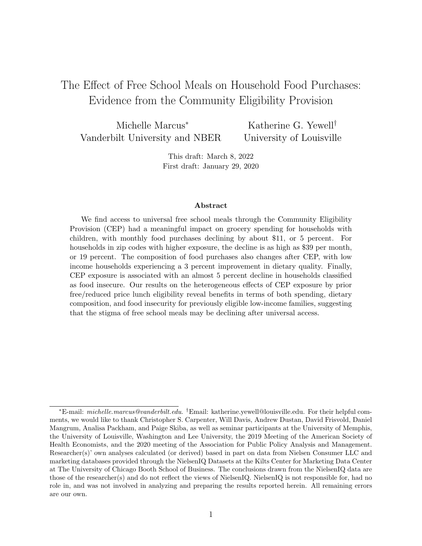# The Effect of Free School Meals on Household Food Purchases: Evidence from the Community Eligibility Provision

Michelle Marcus<sup>∗</sup> Vanderbilt University and NBER Katherine G. Yewell† University of Louisville

> This draft: March 8, 2022 First draft: January 29, 2020

#### Abstract

We find access to universal free school meals through the Community Eligibility Provision (CEP) had a meaningful impact on grocery spending for households with children, with monthly food purchases declining by about \$11, or 5 percent. For households in zip codes with higher exposure, the decline is as high as \$39 per month, or 19 percent. The composition of food purchases also changes after CEP, with low income households experiencing a 3 percent improvement in dietary quality. Finally, CEP exposure is associated with an almost 5 percent decline in households classified as food insecure. Our results on the heterogeneous effects of CEP exposure by prior free/reduced price lunch eligibility reveal benefits in terms of both spending, dietary composition, and food insecurity for previously eligible low-income families, suggesting that the stigma of free school meals may be declining after universal access.

<sup>∗</sup>E-mail: michelle.marcus@vanderbilt.edu. †Email: katherine.yewell@louisville.edu. For their helpful comments, we would like to thank Christopher S. Carpenter, Will Davis, Andrew Dustan, David Frisvold, Daniel Mangrum, Analisa Packham, and Paige Skiba, as well as seminar participants at the University of Memphis, the University of Louisville, Washington and Lee University, the 2019 Meeting of the American Society of Health Economists, and the 2020 meeting of the Association for Public Policy Analysis and Management. Researcher(s)' own analyses calculated (or derived) based in part on data from Nielsen Consumer LLC and marketing databases provided through the NielsenIQ Datasets at the Kilts Center for Marketing Data Center at The University of Chicago Booth School of Business. The conclusions drawn from the NielsenIQ data are those of the researcher(s) and do not reflect the views of NielsenIQ. NielsenIQ is not responsible for, had no role in, and was not involved in analyzing and preparing the results reported herein. All remaining errors are our own.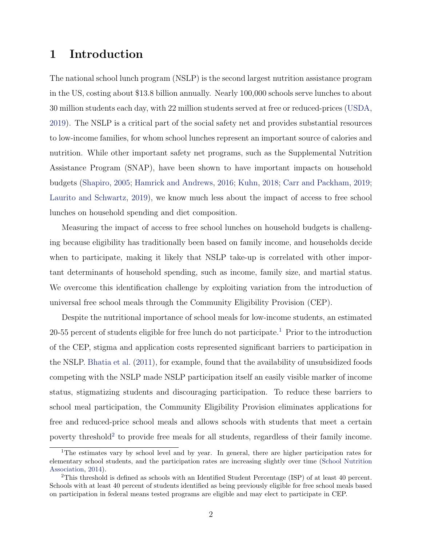## 1 Introduction

The national school lunch program (NSLP) is the second largest nutrition assistance program in the US, costing about \$13.8 billion annually. Nearly 100,000 schools serve lunches to about 30 million students each day, with 22 million students served at free or reduced-prices [\(USDA,](#page-33-0) [2019\)](#page-33-0). The NSLP is a critical part of the social safety net and provides substantial resources to low-income families, for whom school lunches represent an important source of calories and nutrition. While other important safety net programs, such as the Supplemental Nutrition Assistance Program (SNAP), have been shown to have important impacts on household budgets [\(Shapiro,](#page-33-1) [2005;](#page-33-1) [Hamrick and Andrews,](#page-31-0) [2016;](#page-31-0) [Kuhn,](#page-32-0) [2018;](#page-32-0) [Carr and Packham,](#page-30-0) [2019;](#page-30-0) [Laurito and Schwartz,](#page-32-1) [2019\)](#page-32-1), we know much less about the impact of access to free school lunches on household spending and diet composition.

Measuring the impact of access to free school lunches on household budgets is challenging because eligibility has traditionally been based on family income, and households decide when to participate, making it likely that NSLP take-up is correlated with other important determinants of household spending, such as income, family size, and martial status. We overcome this identification challenge by exploiting variation from the introduction of universal free school meals through the Community Eligibility Provision (CEP).

Despite the nutritional importance of school meals for low-income students, an estimated 20-55 percent of students eligible for free lunch do not participate.<sup>[1](#page-1-0)</sup> Prior to the introduction of the CEP, stigma and application costs represented significant barriers to participation in the NSLP. [Bhatia et al.](#page-30-1) [\(2011\)](#page-30-1), for example, found that the availability of unsubsidized foods competing with the NSLP made NSLP participation itself an easily visible marker of income status, stigmatizing students and discouraging participation. To reduce these barriers to school meal participation, the Community Eligibility Provision eliminates applications for free and reduced-price school meals and allows schools with students that meet a certain poverty threshold<sup>[2](#page-1-1)</sup> to provide free meals for all students, regardless of their family income.

<span id="page-1-0"></span><sup>&</sup>lt;sup>1</sup>The estimates vary by school level and by year. In general, there are higher participation rates for elementary school students, and the participation rates are increasing slightly over time [\(School Nutrition](#page-33-2) [Association,](#page-33-2) [2014\)](#page-33-2).

<span id="page-1-1"></span><sup>2</sup>This threshold is defined as schools with an Identified Student Percentage (ISP) of at least 40 percent. Schools with at least 40 percent of students identified as being previously eligible for free school meals based on participation in federal means tested programs are eligible and may elect to participate in CEP.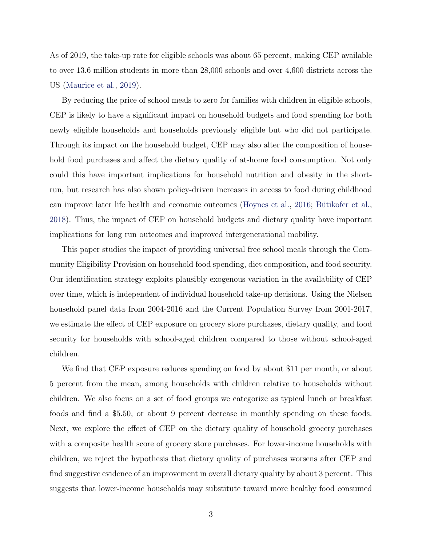As of 2019, the take-up rate for eligible schools was about 65 percent, making CEP available to over 13.6 million students in more than 28,000 schools and over 4,600 districts across the US [\(Maurice et al.,](#page-32-2) [2019\)](#page-32-2).

By reducing the price of school meals to zero for families with children in eligible schools, CEP is likely to have a significant impact on household budgets and food spending for both newly eligible households and households previously eligible but who did not participate. Through its impact on the household budget, CEP may also alter the composition of household food purchases and affect the dietary quality of at-home food consumption. Not only could this have important implications for household nutrition and obesity in the shortrun, but research has also shown policy-driven increases in access to food during childhood can improve later life health and economic outcomes [\(Hoynes et al.,](#page-31-1) [2016;](#page-31-1) Bütikofer et al., [2018\)](#page-30-2). Thus, the impact of CEP on household budgets and dietary quality have important implications for long run outcomes and improved intergenerational mobility.

This paper studies the impact of providing universal free school meals through the Community Eligibility Provision on household food spending, diet composition, and food security. Our identification strategy exploits plausibly exogenous variation in the availability of CEP over time, which is independent of individual household take-up decisions. Using the Nielsen household panel data from 2004-2016 and the Current Population Survey from 2001-2017, we estimate the effect of CEP exposure on grocery store purchases, dietary quality, and food security for households with school-aged children compared to those without school-aged children.

We find that CEP exposure reduces spending on food by about \$11 per month, or about 5 percent from the mean, among households with children relative to households without children. We also focus on a set of food groups we categorize as typical lunch or breakfast foods and find a \$5.50, or about 9 percent decrease in monthly spending on these foods. Next, we explore the effect of CEP on the dietary quality of household grocery purchases with a composite health score of grocery store purchases. For lower-income households with children, we reject the hypothesis that dietary quality of purchases worsens after CEP and find suggestive evidence of an improvement in overall dietary quality by about 3 percent. This suggests that lower-income households may substitute toward more healthy food consumed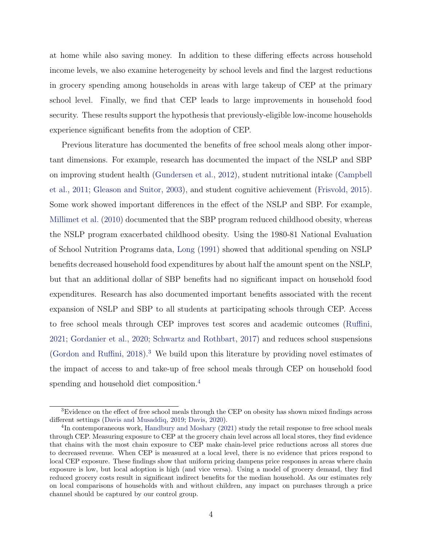at home while also saving money. In addition to these differing effects across household income levels, we also examine heterogeneity by school levels and find the largest reductions in grocery spending among households in areas with large takeup of CEP at the primary school level. Finally, we find that CEP leads to large improvements in household food security. These results support the hypothesis that previously-eligible low-income households experience significant benefits from the adoption of CEP.

Previous literature has documented the benefits of free school meals along other important dimensions. For example, research has documented the impact of the NSLP and SBP on improving student health [\(Gundersen et al.,](#page-31-2) [2012\)](#page-31-2), student nutritional intake [\(Campbell](#page-30-3) [et al.,](#page-30-3) [2011;](#page-30-3) [Gleason and Suitor,](#page-31-3) [2003\)](#page-31-3), and student cognitive achievement [\(Frisvold,](#page-31-4) [2015\)](#page-31-4). Some work showed important differences in the effect of the NSLP and SBP. For example, [Millimet et al.](#page-32-3) [\(2010\)](#page-32-3) documented that the SBP program reduced childhood obesity, whereas the NSLP program exacerbated childhood obesity. Using the 1980-81 National Evaluation of School Nutrition Programs data, [Long](#page-32-4) [\(1991\)](#page-32-4) showed that additional spending on NSLP benefits decreased household food expenditures by about half the amount spent on the NSLP, but that an additional dollar of SBP benefits had no significant impact on household food expenditures. Research has also documented important benefits associated with the recent expansion of NSLP and SBP to all students at participating schools through CEP. Access to free school meals through CEP improves test scores and academic outcomes [\(Ruffini,](#page-33-3) [2021;](#page-33-3) [Gordanier et al.,](#page-31-5) [2020;](#page-31-5) [Schwartz and Rothbart,](#page-33-4) [2017\)](#page-33-4) and reduces school suspensions [\(Gordon and Ruffini,](#page-31-6) [2018\)](#page-31-6).[3](#page-3-0) We build upon this literature by providing novel estimates of the impact of access to and take-up of free school meals through CEP on household food spending and household diet composition.<sup>[4](#page-3-1)</sup>

<span id="page-3-0"></span><sup>&</sup>lt;sup>3</sup>Evidence on the effect of free school meals through the CEP on obesity has shown mixed findings across different settings [\(Davis and Musaddiq,](#page-31-7) [2019;](#page-31-7) [Davis,](#page-30-4) [2020\)](#page-30-4).

<span id="page-3-1"></span><sup>&</sup>lt;sup>4</sup>In contemporaneous work, [Handbury and Moshary](#page-31-8) [\(2021\)](#page-31-8) study the retail response to free school meals through CEP. Measuring exposure to CEP at the grocery chain level across all local stores, they find evidence that chains with the most chain exposure to CEP make chain-level price reductions across all stores due to decreased revenue. When CEP is measured at a local level, there is no evidence that prices respond to local CEP exposure. These findings show that uniform pricing dampens price responses in areas where chain exposure is low, but local adoption is high (and vice versa). Using a model of grocery demand, they find reduced grocery costs result in significant indirect benefits for the median household. As our estimates rely on local comparisons of households with and without children, any impact on purchases through a price channel should be captured by our control group.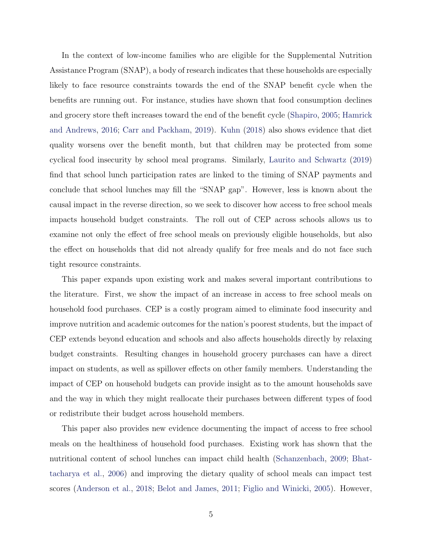In the context of low-income families who are eligible for the Supplemental Nutrition Assistance Program (SNAP), a body of research indicates that these households are especially likely to face resource constraints towards the end of the SNAP benefit cycle when the benefits are running out. For instance, studies have shown that food consumption declines and grocery store theft increases toward the end of the benefit cycle [\(Shapiro,](#page-33-1) [2005;](#page-33-1) [Hamrick](#page-31-0) [and Andrews,](#page-31-0) [2016;](#page-31-0) [Carr and Packham,](#page-30-0) [2019\)](#page-30-0). [Kuhn](#page-32-0) [\(2018\)](#page-32-0) also shows evidence that diet quality worsens over the benefit month, but that children may be protected from some cyclical food insecurity by school meal programs. Similarly, [Laurito and Schwartz](#page-32-1) [\(2019\)](#page-32-1) find that school lunch participation rates are linked to the timing of SNAP payments and conclude that school lunches may fill the "SNAP gap". However, less is known about the causal impact in the reverse direction, so we seek to discover how access to free school meals impacts household budget constraints. The roll out of CEP across schools allows us to examine not only the effect of free school meals on previously eligible households, but also the effect on households that did not already qualify for free meals and do not face such tight resource constraints.

This paper expands upon existing work and makes several important contributions to the literature. First, we show the impact of an increase in access to free school meals on household food purchases. CEP is a costly program aimed to eliminate food insecurity and improve nutrition and academic outcomes for the nation's poorest students, but the impact of CEP extends beyond education and schools and also affects households directly by relaxing budget constraints. Resulting changes in household grocery purchases can have a direct impact on students, as well as spillover effects on other family members. Understanding the impact of CEP on household budgets can provide insight as to the amount households save and the way in which they might reallocate their purchases between different types of food or redistribute their budget across household members.

This paper also provides new evidence documenting the impact of access to free school meals on the healthiness of household food purchases. Existing work has shown that the nutritional content of school lunches can impact child health [\(Schanzenbach,](#page-33-5) [2009;](#page-33-5) [Bhat](#page-30-5)[tacharya et al.,](#page-30-5) [2006\)](#page-30-5) and improving the dietary quality of school meals can impact test scores [\(Anderson et al.,](#page-30-6) [2018;](#page-30-6) [Belot and James,](#page-30-7) [2011;](#page-30-7) [Figlio and Winicki,](#page-31-9) [2005\)](#page-31-9). However,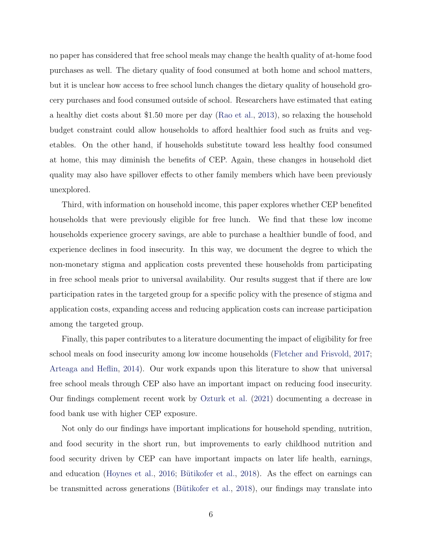no paper has considered that free school meals may change the health quality of at-home food purchases as well. The dietary quality of food consumed at both home and school matters, but it is unclear how access to free school lunch changes the dietary quality of household grocery purchases and food consumed outside of school. Researchers have estimated that eating a healthy diet costs about \$1.50 more per day [\(Rao et al.,](#page-33-6) [2013\)](#page-33-6), so relaxing the household budget constraint could allow households to afford healthier food such as fruits and vegetables. On the other hand, if households substitute toward less healthy food consumed at home, this may diminish the benefits of CEP. Again, these changes in household diet quality may also have spillover effects to other family members which have been previously unexplored.

Third, with information on household income, this paper explores whether CEP benefited households that were previously eligible for free lunch. We find that these low income households experience grocery savings, are able to purchase a healthier bundle of food, and experience declines in food insecurity. In this way, we document the degree to which the non-monetary stigma and application costs prevented these households from participating in free school meals prior to universal availability. Our results suggest that if there are low participation rates in the targeted group for a specific policy with the presence of stigma and application costs, expanding access and reducing application costs can increase participation among the targeted group.

Finally, this paper contributes to a literature documenting the impact of eligibility for free school meals on food insecurity among low income households [\(Fletcher and Frisvold,](#page-31-10) [2017;](#page-31-10) [Arteaga and Heflin,](#page-30-8) [2014\)](#page-30-8). Our work expands upon this literature to show that universal free school meals through CEP also have an important impact on reducing food insecurity. Our findings complement recent work by [Ozturk et al.](#page-32-5) [\(2021\)](#page-32-5) documenting a decrease in food bank use with higher CEP exposure.

Not only do our findings have important implications for household spending, nutrition, and food security in the short run, but improvements to early childhood nutrition and food security driven by CEP can have important impacts on later life health, earnings, and education [\(Hoynes et al.,](#page-31-1) [2016;](#page-31-1) Bütikofer et al., [2018\)](#page-30-2). As the effect on earnings can be transmitted across generations (Bütikofer et al., [2018\)](#page-30-2), our findings may translate into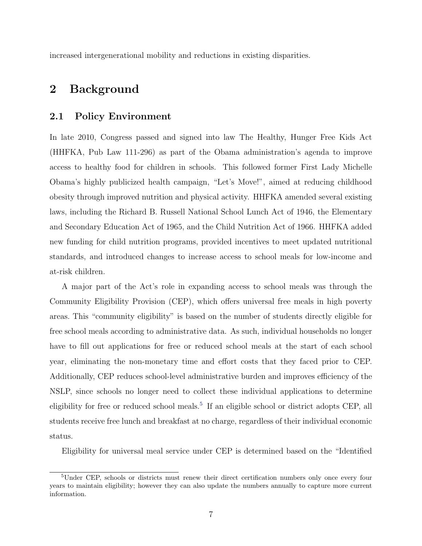increased intergenerational mobility and reductions in existing disparities.

# 2 Background

#### 2.1 Policy Environment

In late 2010, Congress passed and signed into law The Healthy, Hunger Free Kids Act (HHFKA, Pub Law 111-296) as part of the Obama administration's agenda to improve access to healthy food for children in schools. This followed former First Lady Michelle Obama's highly publicized health campaign, "Let's Move!", aimed at reducing childhood obesity through improved nutrition and physical activity. HHFKA amended several existing laws, including the Richard B. Russell National School Lunch Act of 1946, the Elementary and Secondary Education Act of 1965, and the Child Nutrition Act of 1966. HHFKA added new funding for child nutrition programs, provided incentives to meet updated nutritional standards, and introduced changes to increase access to school meals for low-income and at-risk children.

A major part of the Act's role in expanding access to school meals was through the Community Eligibility Provision (CEP), which offers universal free meals in high poverty areas. This "community eligibility" is based on the number of students directly eligible for free school meals according to administrative data. As such, individual households no longer have to fill out applications for free or reduced school meals at the start of each school year, eliminating the non-monetary time and effort costs that they faced prior to CEP. Additionally, CEP reduces school-level administrative burden and improves efficiency of the NSLP, since schools no longer need to collect these individual applications to determine eligibility for free or reduced school meals.<sup>[5](#page-6-0)</sup> If an eligible school or district adopts CEP, all students receive free lunch and breakfast at no charge, regardless of their individual economic status.

Eligibility for universal meal service under CEP is determined based on the "Identified

<span id="page-6-0"></span><sup>5</sup>Under CEP, schools or districts must renew their direct certification numbers only once every four years to maintain eligibility; however they can also update the numbers annually to capture more current information.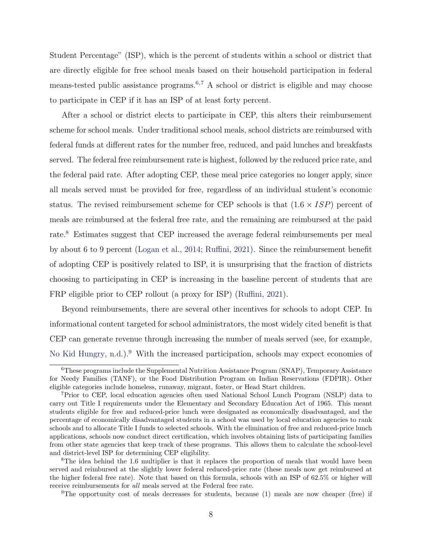Student Percentage" (ISP), which is the percent of students within a school or district that are directly eligible for free school meals based on their household participation in federal means-tested public assistance programs.<sup>[6](#page-7-0),[7](#page-7-1)</sup> A school or district is eligible and may choose to participate in CEP if it has an ISP of at least forty percent.

After a school or district elects to participate in CEP, this alters their reimbursement scheme for school meals. Under traditional school meals, school districts are reimbursed with federal funds at different rates for the number free, reduced, and paid lunches and breakfasts served. The federal free reimbursement rate is highest, followed by the reduced price rate, and the federal paid rate. After adopting CEP, these meal price categories no longer apply, since all meals served must be provided for free, regardless of an individual student's economic status. The revised reimbursement scheme for CEP schools is that  $(1.6 \times ISP)$  percent of meals are reimbursed at the federal free rate, and the remaining are reimbursed at the paid rate.<sup>[8](#page-7-2)</sup> Estimates suggest that CEP increased the average federal reimbursements per meal by about 6 to 9 percent [\(Logan et al.,](#page-32-6) [2014;](#page-32-6) [Ruffini,](#page-33-3) [2021\)](#page-33-3). Since the reimbursement benefit of adopting CEP is positively related to ISP, it is unsurprising that the fraction of districts choosing to participating in CEP is increasing in the baseline percent of students that are FRP eligible prior to CEP rollout (a proxy for ISP) [\(Ruffini,](#page-33-3) [2021\)](#page-33-3).

Beyond reimbursements, there are several other incentives for schools to adopt CEP. In informational content targeted for school administrators, the most widely cited benefit is that CEP can generate revenue through increasing the number of meals served (see, for example, [No Kid Hungry,](#page-32-7) [n.d.\)](#page-32-7).<sup>[9](#page-7-3)</sup> With the increased participation, schools may expect economies of

<span id="page-7-0"></span><sup>6</sup>These programs include the Supplemental Nutrition Assistance Program (SNAP), Temporary Assistance for Needy Families (TANF), or the Food Distribution Program on Indian Reservations (FDPIR). Other eligible categories include homeless, runaway, migrant, foster, or Head Start children.

<span id="page-7-1"></span><sup>7</sup>Prior to CEP, local education agencies often used National School Lunch Program (NSLP) data to carry out Title I requirements under the Elementary and Secondary Education Act of 1965. This meant students eligible for free and reduced-price lunch were designated as economically disadvantaged, and the percentage of economically disadvantaged students in a school was used by local education agencies to rank schools and to allocate Title I funds to selected schools. With the elimination of free and reduced-price lunch applications, schools now conduct direct certification, which involves obtaining lists of participating families from other state agencies that keep track of these programs. This allows them to calculate the school-level and district-level ISP for determining CEP eligibility.

<span id="page-7-2"></span><sup>8</sup>The idea behind the 1.6 multiplier is that it replaces the proportion of meals that would have been served and reimbursed at the slightly lower federal reduced-price rate (these meals now get reimbursed at the higher federal free rate). Note that based on this formula, schools with an ISP of 62.5% or higher will receive reimbursements for all meals served at the Federal free rate.

<span id="page-7-3"></span><sup>&</sup>lt;sup>9</sup>The opportunity cost of meals decreases for students, because (1) meals are now cheaper (free) if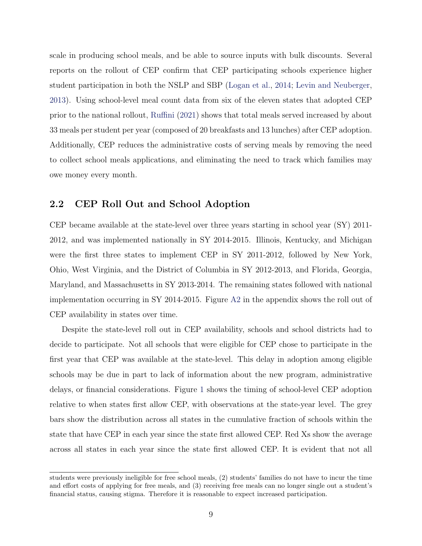scale in producing school meals, and be able to source inputs with bulk discounts. Several reports on the rollout of CEP confirm that CEP participating schools experience higher student participation in both the NSLP and SBP [\(Logan et al.,](#page-32-6) [2014;](#page-32-6) [Levin and Neuberger,](#page-32-8) [2013\)](#page-32-8). Using school-level meal count data from six of the eleven states that adopted CEP prior to the national rollout, [Ruffini](#page-33-3) [\(2021\)](#page-33-3) shows that total meals served increased by about 33 meals per student per year (composed of 20 breakfasts and 13 lunches) after CEP adoption. Additionally, CEP reduces the administrative costs of serving meals by removing the need to collect school meals applications, and eliminating the need to track which families may owe money every month.

### 2.2 CEP Roll Out and School Adoption

CEP became available at the state-level over three years starting in school year (SY) 2011- 2012, and was implemented nationally in SY 2014-2015. Illinois, Kentucky, and Michigan were the first three states to implement CEP in SY 2011-2012, followed by New York, Ohio, West Virginia, and the District of Columbia in SY 2012-2013, and Florida, Georgia, Maryland, and Massachusetts in SY 2013-2014. The remaining states followed with national implementation occurring in SY 2014-2015. Figure [A2](#page--1-0) in the appendix shows the roll out of CEP availability in states over time.

Despite the state-level roll out in CEP availability, schools and school districts had to decide to participate. Not all schools that were eligible for CEP chose to participate in the first year that CEP was available at the state-level. This delay in adoption among eligible schools may be due in part to lack of information about the new program, administrative delays, or financial considerations. Figure [1](#page-34-0) shows the timing of school-level CEP adoption relative to when states first allow CEP, with observations at the state-year level. The grey bars show the distribution across all states in the cumulative fraction of schools within the state that have CEP in each year since the state first allowed CEP. Red Xs show the average across all states in each year since the state first allowed CEP. It is evident that not all

students were previously ineligible for free school meals, (2) students' families do not have to incur the time and effort costs of applying for free meals, and (3) receiving free meals can no longer single out a student's financial status, causing stigma. Therefore it is reasonable to expect increased participation.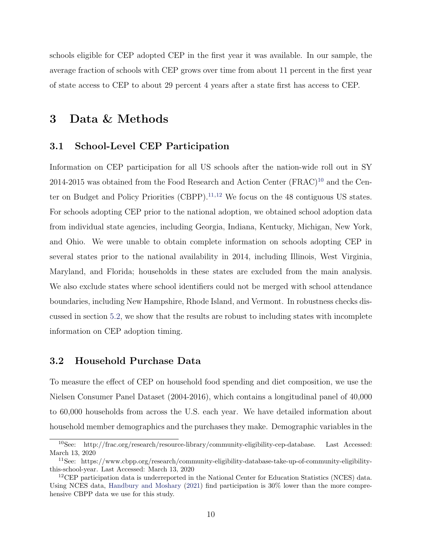schools eligible for CEP adopted CEP in the first year it was available. In our sample, the average fraction of schools with CEP grows over time from about 11 percent in the first year of state access to CEP to about 29 percent 4 years after a state first has access to CEP.

# <span id="page-9-3"></span>3 Data & Methods

### 3.1 School-Level CEP Participation

Information on CEP participation for all US schools after the nation-wide roll out in SY  $2014$ -2015 was obtained from the Food Research and Action Center (FRAC)<sup>[10](#page-9-0)</sup> and the Center on Budget and Policy Priorities (CBPP). $^{11,12}$  $^{11,12}$  $^{11,12}$  $^{11,12}$  $^{11,12}$  We focus on the 48 contiguous US states. For schools adopting CEP prior to the national adoption, we obtained school adoption data from individual state agencies, including Georgia, Indiana, Kentucky, Michigan, New York, and Ohio. We were unable to obtain complete information on schools adopting CEP in several states prior to the national availability in 2014, including Illinois, West Virginia, Maryland, and Florida; households in these states are excluded from the main analysis. We also exclude states where school identifiers could not be merged with school attendance boundaries, including New Hampshire, Rhode Island, and Vermont. In robustness checks discussed in section [5.2,](#page-18-0) we show that the results are robust to including states with incomplete information on CEP adoption timing.

#### <span id="page-9-4"></span>3.2 Household Purchase Data

To measure the effect of CEP on household food spending and diet composition, we use the Nielsen Consumer Panel Dataset (2004-2016), which contains a longitudinal panel of 40,000 to 60,000 households from across the U.S. each year. We have detailed information about household member demographics and the purchases they make. Demographic variables in the

<span id="page-9-0"></span><sup>10</sup>See: http://frac.org/research/resource-library/community-eligibility-cep-database. Last Accessed: March 13, 2020

<span id="page-9-1"></span><sup>11</sup>See: https://www.cbpp.org/research/community-eligibility-database-take-up-of-community-eligibilitythis-school-year. Last Accessed: March 13, 2020

<span id="page-9-2"></span><sup>&</sup>lt;sup>12</sup>CEP participation data is underreported in the National Center for Education Statistics (NCES) data. Using NCES data, [Handbury and Moshary](#page-31-8) [\(2021\)](#page-31-8) find participation is 30% lower than the more comprehensive CBPP data we use for this study.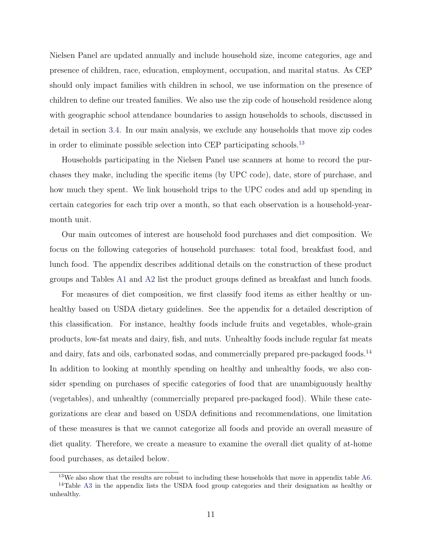Nielsen Panel are updated annually and include household size, income categories, age and presence of children, race, education, employment, occupation, and marital status. As CEP should only impact families with children in school, we use information on the presence of children to define our treated families. We also use the zip code of household residence along with geographic school attendance boundaries to assign households to schools, discussed in detail in section [3.4.](#page-13-0) In our main analysis, we exclude any households that move zip codes in order to eliminate possible selection into CEP participating schools.<sup>[13](#page-10-0)</sup>

Households participating in the Nielsen Panel use scanners at home to record the purchases they make, including the specific items (by UPC code), date, store of purchase, and how much they spent. We link household trips to the UPC codes and add up spending in certain categories for each trip over a month, so that each observation is a household-yearmonth unit.

Our main outcomes of interest are household food purchases and diet composition. We focus on the following categories of household purchases: total food, breakfast food, and lunch food. The appendix describes additional details on the construction of these product groups and Tables [A1](#page-40-0) and [A2](#page-41-0) list the product groups defined as breakfast and lunch foods.

For measures of diet composition, we first classify food items as either healthy or unhealthy based on USDA dietary guidelines. See the appendix for a detailed description of this classification. For instance, healthy foods include fruits and vegetables, whole-grain products, low-fat meats and dairy, fish, and nuts. Unhealthy foods include regular fat meats and dairy, fats and oils, carbonated sodas, and commercially prepared pre-packaged foods.<sup>[14](#page-10-1)</sup> In addition to looking at monthly spending on healthy and unhealthy foods, we also consider spending on purchases of specific categories of food that are unambiguously healthy (vegetables), and unhealthy (commercially prepared pre-packaged food). While these categorizations are clear and based on USDA definitions and recommendations, one limitation of these measures is that we cannot categorize all foods and provide an overall measure of diet quality. Therefore, we create a measure to examine the overall diet quality of at-home food purchases, as detailed below.

<span id="page-10-1"></span><span id="page-10-0"></span><sup>&</sup>lt;sup>13</sup>We also show that the results are robust to including these households that move in appendix table [A6.](#page-45-0) <sup>14</sup>Table [A3](#page-42-0) in the appendix lists the USDA food group categories and their designation as healthy or unhealthy.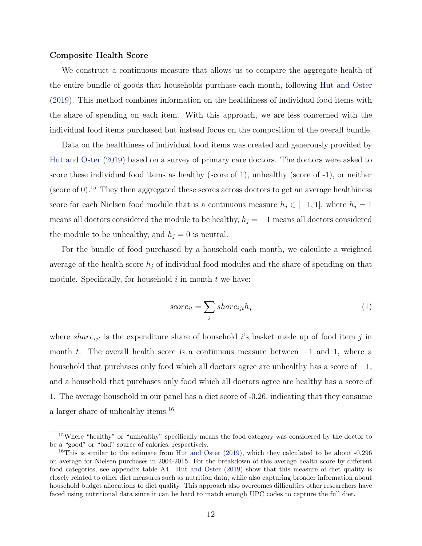#### Composite Health Score

We construct a continuous measure that allows us to compare the aggregate health of the entire bundle of goods that households purchase each month, following [Hut and Oster](#page-31-11) [\(2019\)](#page-31-11). This method combines information on the healthiness of individual food items with the share of spending on each item. With this approach, we are less concerned with the individual food items purchased but instead focus on the composition of the overall bundle.

Data on the healthiness of individual food items was created and generously provided by [Hut and Oster](#page-31-11) [\(2019\)](#page-31-11) based on a survey of primary care doctors. The doctors were asked to score these individual food items as healthy (score of 1), unhealthy (score of -1), or neither (score of  $0$ ).<sup>[15](#page-11-0)</sup> They then aggregated these scores across doctors to get an average healthiness score for each Nielsen food module that is a continuous measure  $h_j \in [-1,1]$ , where  $h_j = 1$ means all doctors considered the module to be healthy,  $h_j = -1$  means all doctors considered the module to be unhealthy, and  $h_i = 0$  is neutral.

For the bundle of food purchased by a household each month, we calculate a weighted average of the health score  $h_j$  of individual food modules and the share of spending on that module. Specifically, for household  $i$  in month  $t$  we have:

$$
score_{it} = \sum_{j} share_{ijt}h_j
$$
\n<sup>(1)</sup>

where share<sub>ijt</sub> is the expenditure share of household i's basket made up of food item j in month t. The overall health score is a continuous measure between  $-1$  and 1, where a household that purchases only food which all doctors agree are unhealthy has a score of  $-1$ , and a household that purchases only food which all doctors agree are healthy has a score of 1. The average household in our panel has a diet score of -0.26, indicating that they consume a larger share of unhealthy items.[16](#page-11-1)

<span id="page-11-0"></span><sup>&</sup>lt;sup>15</sup>Where "healthy" or "unhealthy" specifically means the food category was considered by the doctor to be a "good" or "bad" source of calories, respectively.

<span id="page-11-1"></span><sup>&</sup>lt;sup>16</sup>This is similar to the estimate from [Hut and Oster](#page-31-11)  $(2019)$ , which they calculated to be about -0.296 on average for Nielsen purchases in 2004-2015. For the breakdown of this average health score by different food categories, see appendix table [A4.](#page-43-0) [Hut and Oster](#page-31-11) [\(2019\)](#page-31-11) show that this measure of diet quality is closely related to other diet measures such as nutrition data, while also capturing broader information about household budget allocations to diet quality. This approach also overcomes difficulties other researchers have faced using nutritional data since it can be hard to match enough UPC codes to capture the full diet.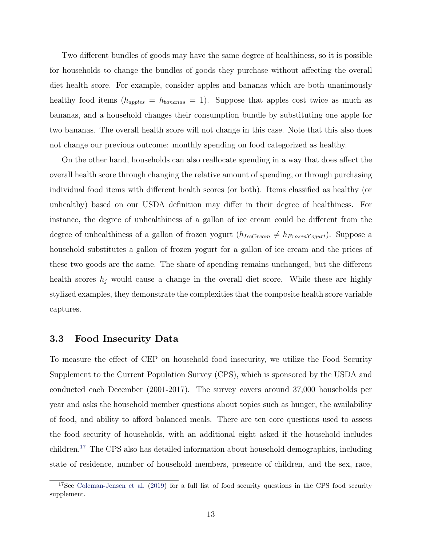Two different bundles of goods may have the same degree of healthiness, so it is possible for households to change the bundles of goods they purchase without affecting the overall diet health score. For example, consider apples and bananas which are both unanimously healthy food items  $(h_{apples} = h_{bananas} = 1)$ . Suppose that apples cost twice as much as bananas, and a household changes their consumption bundle by substituting one apple for two bananas. The overall health score will not change in this case. Note that this also does not change our previous outcome: monthly spending on food categorized as healthy.

On the other hand, households can also reallocate spending in a way that does affect the overall health score through changing the relative amount of spending, or through purchasing individual food items with different health scores (or both). Items classified as healthy (or unhealthy) based on our USDA definition may differ in their degree of healthiness. For instance, the degree of unhealthiness of a gallon of ice cream could be different from the degree of unhealthiness of a gallon of frozen yogurt  $(h_{IceCream} \neq h_{FrozenY ogurt})$ . Suppose a household substitutes a gallon of frozen yogurt for a gallon of ice cream and the prices of these two goods are the same. The share of spending remains unchanged, but the different health scores  $h_j$  would cause a change in the overall diet score. While these are highly stylized examples, they demonstrate the complexities that the composite health score variable captures.

### 3.3 Food Insecurity Data

To measure the effect of CEP on household food insecurity, we utilize the Food Security Supplement to the Current Population Survey (CPS), which is sponsored by the USDA and conducted each December (2001-2017). The survey covers around 37,000 households per year and asks the household member questions about topics such as hunger, the availability of food, and ability to afford balanced meals. There are ten core questions used to assess the food security of households, with an additional eight asked if the household includes children.[17](#page-12-0) The CPS also has detailed information about household demographics, including state of residence, number of household members, presence of children, and the sex, race,

<span id="page-12-0"></span><sup>&</sup>lt;sup>17</sup>See [Coleman-Jensen et al.](#page-30-9) [\(2019\)](#page-30-9) for a full list of food security questions in the CPS food security supplement.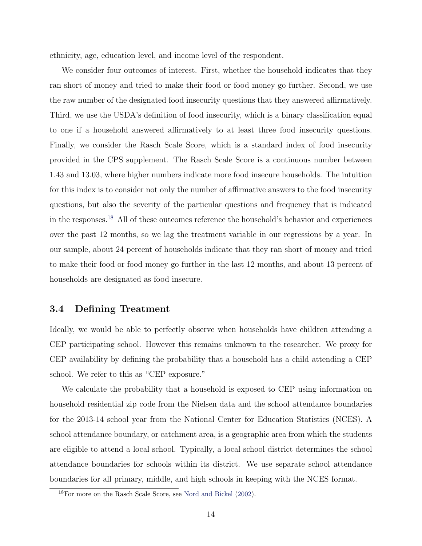ethnicity, age, education level, and income level of the respondent.

We consider four outcomes of interest. First, whether the household indicates that they ran short of money and tried to make their food or food money go further. Second, we use the raw number of the designated food insecurity questions that they answered affirmatively. Third, we use the USDA's definition of food insecurity, which is a binary classification equal to one if a household answered affirmatively to at least three food insecurity questions. Finally, we consider the Rasch Scale Score, which is a standard index of food insecurity provided in the CPS supplement. The Rasch Scale Score is a continuous number between 1.43 and 13.03, where higher numbers indicate more food insecure households. The intuition for this index is to consider not only the number of affirmative answers to the food insecurity questions, but also the severity of the particular questions and frequency that is indicated in the responses.[18](#page-13-1) All of these outcomes reference the household's behavior and experiences over the past 12 months, so we lag the treatment variable in our regressions by a year. In our sample, about 24 percent of households indicate that they ran short of money and tried to make their food or food money go further in the last 12 months, and about 13 percent of households are designated as food insecure.

### <span id="page-13-0"></span>3.4 Defining Treatment

Ideally, we would be able to perfectly observe when households have children attending a CEP participating school. However this remains unknown to the researcher. We proxy for CEP availability by defining the probability that a household has a child attending a CEP school. We refer to this as "CEP exposure."

We calculate the probability that a household is exposed to CEP using information on household residential zip code from the Nielsen data and the school attendance boundaries for the 2013-14 school year from the National Center for Education Statistics (NCES). A school attendance boundary, or catchment area, is a geographic area from which the students are eligible to attend a local school. Typically, a local school district determines the school attendance boundaries for schools within its district. We use separate school attendance boundaries for all primary, middle, and high schools in keeping with the NCES format.

<span id="page-13-1"></span><sup>18</sup>For more on the Rasch Scale Score, see [Nord and Bickel](#page-32-9) [\(2002\)](#page-32-9).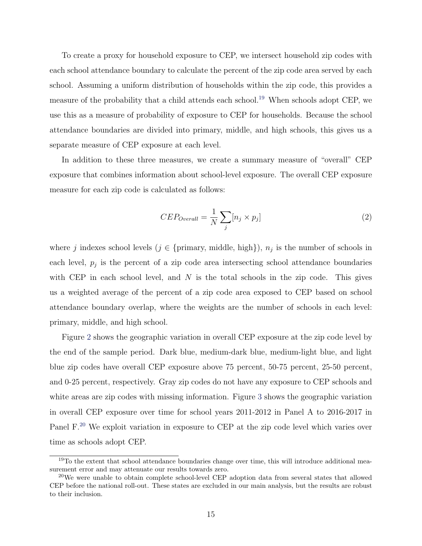To create a proxy for household exposure to CEP, we intersect household zip codes with each school attendance boundary to calculate the percent of the zip code area served by each school. Assuming a uniform distribution of households within the zip code, this provides a measure of the probability that a child attends each school.<sup>[19](#page-14-0)</sup> When schools adopt CEP, we use this as a measure of probability of exposure to CEP for households. Because the school attendance boundaries are divided into primary, middle, and high schools, this gives us a separate measure of CEP exposure at each level.

In addition to these three measures, we create a summary measure of "overall" CEP exposure that combines information about school-level exposure. The overall CEP exposure measure for each zip code is calculated as follows:

<span id="page-14-3"></span><span id="page-14-2"></span>
$$
CEP_{Overall} = \frac{1}{N} \sum_{j} [n_j \times p_j]
$$
 (2)

where j indexes school levels  $(j \in \{\text{primary}, \text{ middle}, \text{high}\}), n_j$  is the number of schools in each level,  $p_j$  is the percent of a zip code area intersecting school attendance boundaries with CEP in each school level, and  $N$  is the total schools in the zip code. This gives us a weighted average of the percent of a zip code area exposed to CEP based on school attendance boundary overlap, where the weights are the number of schools in each level: primary, middle, and high school.

Figure [2](#page-35-0) shows the geographic variation in overall CEP exposure at the zip code level by the end of the sample period. Dark blue, medium-dark blue, medium-light blue, and light blue zip codes have overall CEP exposure above 75 percent, 50-75 percent, 25-50 percent, and 0-25 percent, respectively. Gray zip codes do not have any exposure to CEP schools and white areas are zip codes with missing information. Figure [3](#page-36-0) shows the geographic variation in overall CEP exposure over time for school years 2011-2012 in Panel A to 2016-2017 in Panel F.<sup>[20](#page-14-1)</sup> We exploit variation in exposure to CEP at the zip code level which varies over time as schools adopt CEP.

<span id="page-14-0"></span><sup>&</sup>lt;sup>19</sup>To the extent that school attendance boundaries change over time, this will introduce additional measurement error and may attenuate our results towards zero.

<span id="page-14-1"></span><sup>&</sup>lt;sup>20</sup>We were unable to obtain complete school-level CEP adoption data from several states that allowed CEP before the national roll-out. These states are excluded in our main analysis, but the results are robust to their inclusion.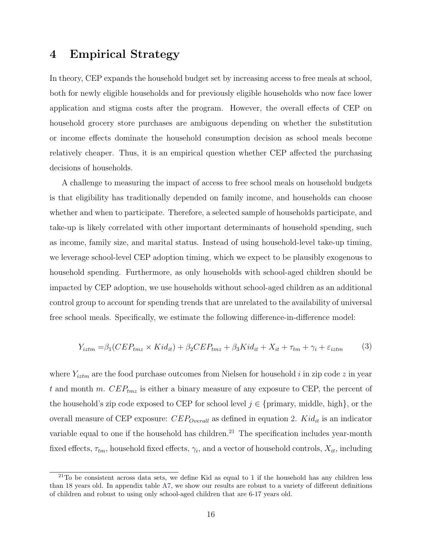## <span id="page-15-2"></span>4 Empirical Strategy

In theory, CEP expands the household budget set by increasing access to free meals at school, both for newly eligible households and for previously eligible households who now face lower application and stigma costs after the program. However, the overall effects of CEP on household grocery store purchases are ambiguous depending on whether the substitution or income effects dominate the household consumption decision as school meals become relatively cheaper. Thus, it is an empirical question whether CEP affected the purchasing decisions of households.

A challenge to measuring the impact of access to free school meals on household budgets is that eligibility has traditionally depended on family income, and households can choose whether and when to participate. Therefore, a selected sample of households participate, and take-up is likely correlated with other important determinants of household spending, such as income, family size, and marital status. Instead of using household-level take-up timing, we leverage school-level CEP adoption timing, which we expect to be plausibly exogenous to household spending. Furthermore, as only households with school-aged children should be impacted by CEP adoption, we use households without school-aged children as an additional control group to account for spending trends that are unrelated to the availability of universal free school meals. Specifically, we estimate the following difference-in-difference model:

<span id="page-15-1"></span>
$$
Y_{iztm} = \beta_1 (CEP_{tmz} \times Kid_{it}) + \beta_2 CEP_{tmz} + \beta_3 Kid_{it} + X_{it} + \tau_{tm} + \gamma_i + \varepsilon_{iztm}
$$
 (3)

where  $Y_{iztm}$  are the food purchase outcomes from Nielsen for household i in zip code z in year t and month m.  $CEP_{tmz}$  is either a binary measure of any exposure to CEP, the percent of the household's zip code exposed to CEP for school level  $j \in \{\text{primary}, \text{ middle}, \text{high}\}\,$ , or the overall measure of CEP exposure:  $CEP_{Overall}$  as defined in equation [2.](#page-14-2)  $Kid_{it}$  is an indicator variable equal to one if the household has children.<sup>[21](#page-15-0)</sup> The specification includes year-month fixed effects,  $\tau_{tm}$ , household fixed effects,  $\gamma_i$ , and a vector of household controls,  $X_{it}$ , including

<span id="page-15-0"></span><sup>21</sup>To be consistent across data sets, we define Kid as equal to 1 if the household has any children less than 18 years old. In appendix table [A7,](#page-46-0) we show our results are robust to a variety of different definitions of children and robust to using only school-aged children that are 6-17 years old.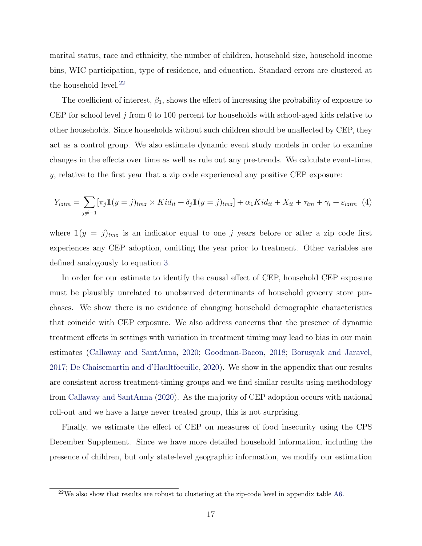marital status, race and ethnicity, the number of children, household size, household income bins, WIC participation, type of residence, and education. Standard errors are clustered at the household level.<sup>[22](#page-16-0)</sup>

The coefficient of interest,  $\beta_1$ , shows the effect of increasing the probability of exposure to CEP for school level j from 0 to 100 percent for households with school-aged kids relative to other households. Since households without such children should be unaffected by CEP, they act as a control group. We also estimate dynamic event study models in order to examine changes in the effects over time as well as rule out any pre-trends. We calculate event-time, y, relative to the first year that a zip code experienced any positive CEP exposure:

<span id="page-16-1"></span>
$$
Y_{iztm} = \sum_{j \neq -1} [\pi_j 1(y = j)_{tmz} \times Kid_{it} + \delta_j 1(y = j)_{tmz}] + \alpha_1 Kid_{it} + X_{it} + \tau_{tm} + \gamma_i + \varepsilon_{iztm}
$$
(4)

where  $\mathbb{1}(y = j)_{tmz}$  is an indicator equal to one j years before or after a zip code first experiences any CEP adoption, omitting the year prior to treatment. Other variables are defined analogously to equation [3.](#page-15-1)

In order for our estimate to identify the causal effect of CEP, household CEP exposure must be plausibly unrelated to unobserved determinants of household grocery store purchases. We show there is no evidence of changing household demographic characteristics that coincide with CEP exposure. We also address concerns that the presence of dynamic treatment effects in settings with variation in treatment timing may lead to bias in our main estimates [\(Callaway and SantAnna,](#page-30-10) [2020;](#page-30-10) [Goodman-Bacon,](#page-31-12) [2018;](#page-31-12) [Borusyak and Jaravel,](#page-30-11) [2017;](#page-30-11) [De Chaisemartin and d'Haultfoeuille,](#page-30-12) [2020\)](#page-30-12). We show in the appendix that our results are consistent across treatment-timing groups and we find similar results using methodology from [Callaway and SantAnna](#page-30-10) [\(2020\)](#page-30-10). As the majority of CEP adoption occurs with national roll-out and we have a large never treated group, this is not surprising.

Finally, we estimate the effect of CEP on measures of food insecurity using the CPS December Supplement. Since we have more detailed household information, including the presence of children, but only state-level geographic information, we modify our estimation

<span id="page-16-0"></span> $22$ We also show that results are robust to clustering at the zip-code level in appendix table [A6.](#page-45-0)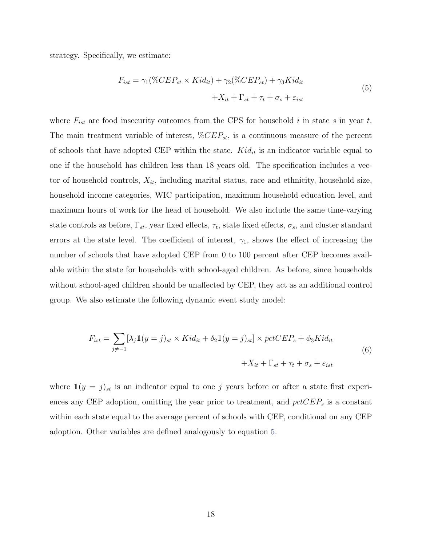<span id="page-17-0"></span>strategy. Specifically, we estimate:

$$
F_{ist} = \gamma_1(\% CEP_{st} \times Kid_{it}) + \gamma_2(\% CEP_{st}) + \gamma_3 Kid_{it}
$$
  
+
$$
X_{it} + \Gamma_{st} + \tau_t + \sigma_s + \varepsilon_{ist}
$$
 (5)

where  $F_{ist}$  are food insecurity outcomes from the CPS for household i in state s in year t. The main treatment variable of interest,  $\%CEP_{st}$ , is a continuous measure of the percent of schools that have adopted CEP within the state.  $Kid_{it}$  is an indicator variable equal to one if the household has children less than 18 years old. The specification includes a vector of household controls,  $X_{it}$ , including marital status, race and ethnicity, household size, household income categories, WIC participation, maximum household education level, and maximum hours of work for the head of household. We also include the same time-varying state controls as before,  $\Gamma_{st}$ , year fixed effects,  $\tau_t$ , state fixed effects,  $\sigma_s$ , and cluster standard errors at the state level. The coefficient of interest,  $\gamma_1$ , shows the effect of increasing the number of schools that have adopted CEP from 0 to 100 percent after CEP becomes available within the state for households with school-aged children. As before, since households without school-aged children should be unaffected by CEP, they act as an additional control group. We also estimate the following dynamic event study model:

<span id="page-17-1"></span>
$$
F_{ist} = \sum_{j \neq -1} [\lambda_j \mathbb{1}(y = j)_{st} \times Kid_{it} + \delta_2 \mathbb{1}(y = j)_{st}] \times pctCEP_s + \phi_3 Kid_{it}
$$
  
+
$$
X_{it} + \Gamma_{st} + \tau_t + \sigma_s + \varepsilon_{ist}
$$
 (6)

where  $\mathbb{1}(y = j)_{st}$  is an indicator equal to one j years before or after a state first experiences any CEP adoption, omitting the year prior to treatment, and  $pctCEP<sub>s</sub>$  is a constant within each state equal to the average percent of schools with CEP, conditional on any CEP adoption. Other variables are defined analogously to equation [5.](#page-17-0)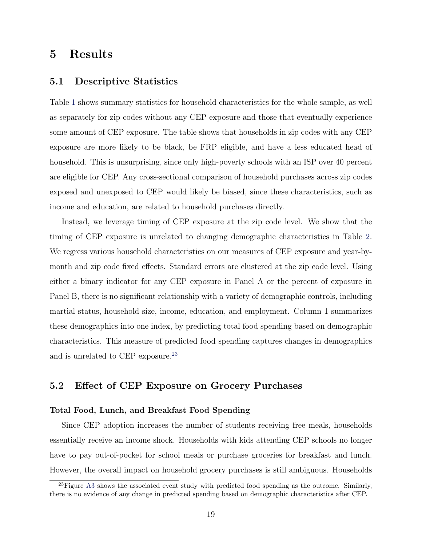## 5 Results

### 5.1 Descriptive Statistics

Table [1](#page-40-0) shows summary statistics for household characteristics for the whole sample, as well as separately for zip codes without any CEP exposure and those that eventually experience some amount of CEP exposure. The table shows that households in zip codes with any CEP exposure are more likely to be black, be FRP eligible, and have a less educated head of household. This is unsurprising, since only high-poverty schools with an ISP over 40 percent are eligible for CEP. Any cross-sectional comparison of household purchases across zip codes exposed and unexposed to CEP would likely be biased, since these characteristics, such as income and education, are related to household purchases directly.

Instead, we leverage timing of CEP exposure at the zip code level. We show that the timing of CEP exposure is unrelated to changing demographic characteristics in Table [2.](#page-41-0) We regress various household characteristics on our measures of CEP exposure and year-bymonth and zip code fixed effects. Standard errors are clustered at the zip code level. Using either a binary indicator for any CEP exposure in Panel A or the percent of exposure in Panel B, there is no significant relationship with a variety of demographic controls, including martial status, household size, income, education, and employment. Column 1 summarizes these demographics into one index, by predicting total food spending based on demographic characteristics. This measure of predicted food spending captures changes in demographics and is unrelated to CEP exposure.<sup>[23](#page-18-1)</sup>

### <span id="page-18-0"></span>5.2 Effect of CEP Exposure on Grocery Purchases

#### Total Food, Lunch, and Breakfast Food Spending

Since CEP adoption increases the number of students receiving free meals, households essentially receive an income shock. Households with kids attending CEP schools no longer have to pay out-of-pocket for school meals or purchase groceries for breakfast and lunch. However, the overall impact on household grocery purchases is still ambiguous. Households

<span id="page-18-1"></span> $^{23}$ Figure [A3](#page--1-1) shows the associated event study with predicted food spending as the outcome. Similarly, there is no evidence of any change in predicted spending based on demographic characteristics after CEP.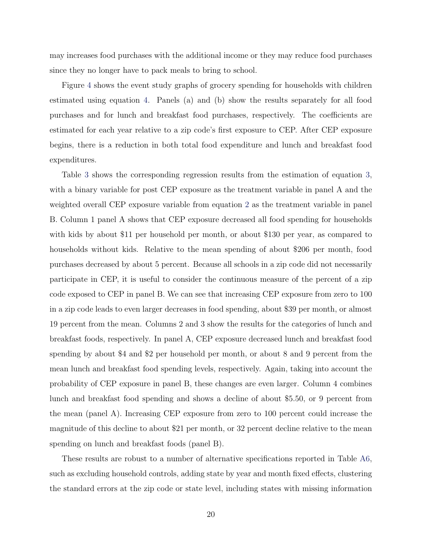may increases food purchases with the additional income or they may reduce food purchases since they no longer have to pack meals to bring to school.

Figure [4](#page-37-0) shows the event study graphs of grocery spending for households with children estimated using equation [4.](#page-16-1) Panels (a) and (b) show the results separately for all food purchases and for lunch and breakfast food purchases, respectively. The coefficients are estimated for each year relative to a zip code's first exposure to CEP. After CEP exposure begins, there is a reduction in both total food expenditure and lunch and breakfast food expenditures.

Table [3](#page-42-0) shows the corresponding regression results from the estimation of equation [3,](#page-15-1) with a binary variable for post CEP exposure as the treatment variable in panel A and the weighted overall CEP exposure variable from equation [2](#page-14-2) as the treatment variable in panel B. Column 1 panel A shows that CEP exposure decreased all food spending for households with kids by about \$11 per household per month, or about \$130 per year, as compared to households without kids. Relative to the mean spending of about \$206 per month, food purchases decreased by about 5 percent. Because all schools in a zip code did not necessarily participate in CEP, it is useful to consider the continuous measure of the percent of a zip code exposed to CEP in panel B. We can see that increasing CEP exposure from zero to 100 in a zip code leads to even larger decreases in food spending, about \$39 per month, or almost 19 percent from the mean. Columns 2 and 3 show the results for the categories of lunch and breakfast foods, respectively. In panel A, CEP exposure decreased lunch and breakfast food spending by about \$4 and \$2 per household per month, or about 8 and 9 percent from the mean lunch and breakfast food spending levels, respectively. Again, taking into account the probability of CEP exposure in panel B, these changes are even larger. Column 4 combines lunch and breakfast food spending and shows a decline of about \$5.50, or 9 percent from the mean (panel A). Increasing CEP exposure from zero to 100 percent could increase the magnitude of this decline to about \$21 per month, or 32 percent decline relative to the mean spending on lunch and breakfast foods (panel B).

These results are robust to a number of alternative specifications reported in Table [A6,](#page-45-0) such as excluding household controls, adding state by year and month fixed effects, clustering the standard errors at the zip code or state level, including states with missing information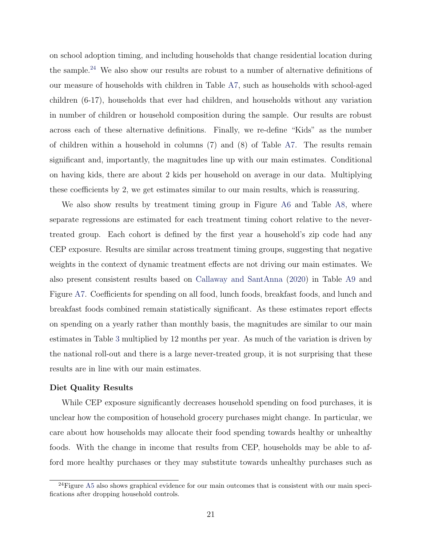on school adoption timing, and including households that change residential location during the sample.[24](#page-20-0) We also show our results are robust to a number of alternative definitions of our measure of households with children in Table [A7,](#page-46-0) such as households with school-aged children (6-17), households that ever had children, and households without any variation in number of children or household composition during the sample. Our results are robust across each of these alternative definitions. Finally, we re-define "Kids" as the number of children within a household in columns (7) and (8) of Table [A7.](#page-46-0) The results remain significant and, importantly, the magnitudes line up with our main estimates. Conditional on having kids, there are about 2 kids per household on average in our data. Multiplying these coefficients by 2, we get estimates similar to our main results, which is reassuring.

We also show results by treatment timing group in Figure [A6](#page--1-2) and Table [A8,](#page-47-0) where separate regressions are estimated for each treatment timing cohort relative to the nevertreated group. Each cohort is defined by the first year a household's zip code had any CEP exposure. Results are similar across treatment timing groups, suggesting that negative weights in the context of dynamic treatment effects are not driving our main estimates. We also present consistent results based on [Callaway and SantAnna](#page-30-10) [\(2020\)](#page-30-10) in Table [A9](#page--1-3) and Figure [A7.](#page--1-2) Coefficients for spending on all food, lunch foods, breakfast foods, and lunch and breakfast foods combined remain statistically significant. As these estimates report effects on spending on a yearly rather than monthly basis, the magnitudes are similar to our main estimates in Table [3](#page-42-0) multiplied by 12 months per year. As much of the variation is driven by the national roll-out and there is a large never-treated group, it is not surprising that these results are in line with our main estimates.

#### Diet Quality Results

While CEP exposure significantly decreases household spending on food purchases, it is unclear how the composition of household grocery purchases might change. In particular, we care about how households may allocate their food spending towards healthy or unhealthy foods. With the change in income that results from CEP, households may be able to afford more healthy purchases or they may substitute towards unhealthy purchases such as

<span id="page-20-0"></span> $^{24}$ Figure [A5](#page--1-2) also shows graphical evidence for our main outcomes that is consistent with our main specifications after dropping household controls.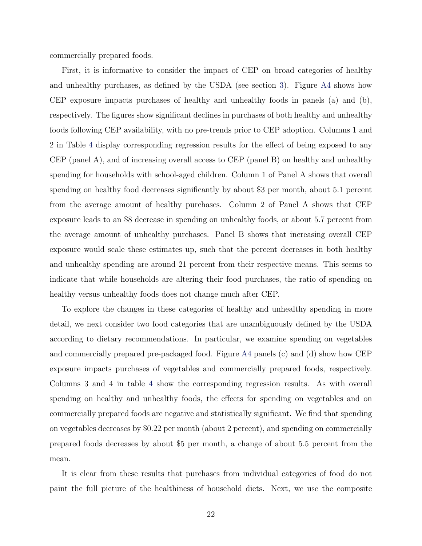commercially prepared foods.

First, it is informative to consider the impact of CEP on broad categories of healthy and unhealthy purchases, as defined by the USDA (see section [3\)](#page-9-3). Figure [A4](#page--1-2) shows how CEP exposure impacts purchases of healthy and unhealthy foods in panels (a) and (b), respectively. The figures show significant declines in purchases of both healthy and unhealthy foods following CEP availability, with no pre-trends prior to CEP adoption. Columns 1 and 2 in Table [4](#page-43-0) display corresponding regression results for the effect of being exposed to any CEP (panel A), and of increasing overall access to CEP (panel B) on healthy and unhealthy spending for households with school-aged children. Column 1 of Panel A shows that overall spending on healthy food decreases significantly by about \$3 per month, about 5.1 percent from the average amount of healthy purchases. Column 2 of Panel A shows that CEP exposure leads to an \$8 decrease in spending on unhealthy foods, or about 5.7 percent from the average amount of unhealthy purchases. Panel B shows that increasing overall CEP exposure would scale these estimates up, such that the percent decreases in both healthy and unhealthy spending are around 21 percent from their respective means. This seems to indicate that while households are altering their food purchases, the ratio of spending on healthy versus unhealthy foods does not change much after CEP.

To explore the changes in these categories of healthy and unhealthy spending in more detail, we next consider two food categories that are unambiguously defined by the USDA according to dietary recommendations. In particular, we examine spending on vegetables and commercially prepared pre-packaged food. Figure [A4](#page--1-2) panels (c) and (d) show how CEP exposure impacts purchases of vegetables and commercially prepared foods, respectively. Columns 3 and 4 in table [4](#page-43-0) show the corresponding regression results. As with overall spending on healthy and unhealthy foods, the effects for spending on vegetables and on commercially prepared foods are negative and statistically significant. We find that spending on vegetables decreases by \$0.22 per month (about 2 percent), and spending on commercially prepared foods decreases by about \$5 per month, a change of about 5.5 percent from the mean.

It is clear from these results that purchases from individual categories of food do not paint the full picture of the healthiness of household diets. Next, we use the composite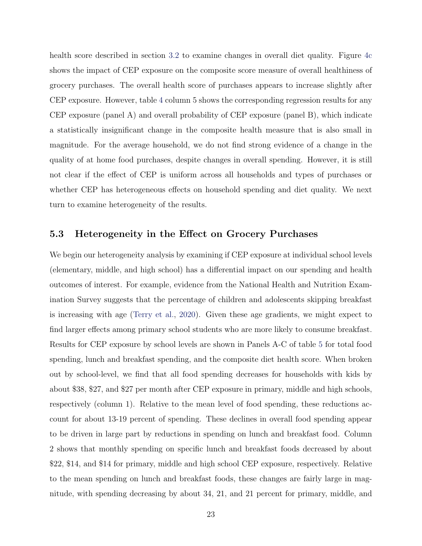health score described in section [3.2](#page-9-4) to examine changes in overall diet quality. Figure [4c](#page-37-0) shows the impact of CEP exposure on the composite score measure of overall healthiness of grocery purchases. The overall health score of purchases appears to increase slightly after CEP exposure. However, table [4](#page-43-0) column 5 shows the corresponding regression results for any CEP exposure (panel A) and overall probability of CEP exposure (panel B), which indicate a statistically insignificant change in the composite health measure that is also small in magnitude. For the average household, we do not find strong evidence of a change in the quality of at home food purchases, despite changes in overall spending. However, it is still not clear if the effect of CEP is uniform across all households and types of purchases or whether CEP has heterogeneous effects on household spending and diet quality. We next turn to examine heterogeneity of the results.

#### 5.3 Heterogeneity in the Effect on Grocery Purchases

We begin our heterogeneity analysis by examining if CEP exposure at individual school levels (elementary, middle, and high school) has a differential impact on our spending and health outcomes of interest. For example, evidence from the National Health and Nutrition Examination Survey suggests that the percentage of children and adolescents skipping breakfast is increasing with age [\(Terry et al.,](#page-33-7) [2020\)](#page-33-7). Given these age gradients, we might expect to find larger effects among primary school students who are more likely to consume breakfast. Results for CEP exposure by school levels are shown in Panels A-C of table [5](#page-44-0) for total food spending, lunch and breakfast spending, and the composite diet health score. When broken out by school-level, we find that all food spending decreases for households with kids by about \$38, \$27, and \$27 per month after CEP exposure in primary, middle and high schools, respectively (column 1). Relative to the mean level of food spending, these reductions account for about 13-19 percent of spending. These declines in overall food spending appear to be driven in large part by reductions in spending on lunch and breakfast food. Column 2 shows that monthly spending on specific lunch and breakfast foods decreased by about \$22, \$14, and \$14 for primary, middle and high school CEP exposure, respectively. Relative to the mean spending on lunch and breakfast foods, these changes are fairly large in magnitude, with spending decreasing by about 34, 21, and 21 percent for primary, middle, and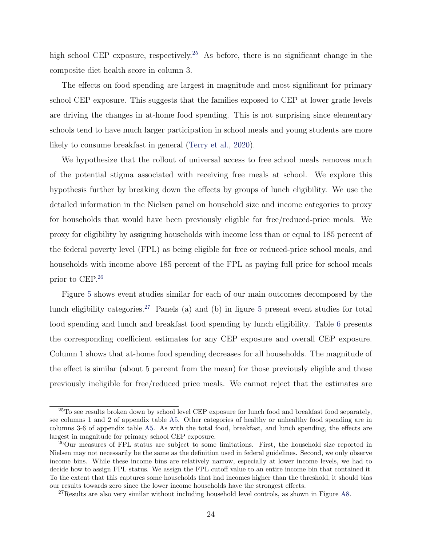high school CEP exposure, respectively.<sup>[25](#page-23-0)</sup> As before, there is no significant change in the composite diet health score in column 3.

The effects on food spending are largest in magnitude and most significant for primary school CEP exposure. This suggests that the families exposed to CEP at lower grade levels are driving the changes in at-home food spending. This is not surprising since elementary schools tend to have much larger participation in school meals and young students are more likely to consume breakfast in general [\(Terry et al.,](#page-33-7) [2020\)](#page-33-7).

We hypothesize that the rollout of universal access to free school meals removes much of the potential stigma associated with receiving free meals at school. We explore this hypothesis further by breaking down the effects by groups of lunch eligibility. We use the detailed information in the Nielsen panel on household size and income categories to proxy for households that would have been previously eligible for free/reduced-price meals. We proxy for eligibility by assigning households with income less than or equal to 185 percent of the federal poverty level (FPL) as being eligible for free or reduced-price school meals, and households with income above 185 percent of the FPL as paying full price for school meals prior to CEP.[26](#page-23-1)

Figure [5](#page-38-0) shows event studies similar for each of our main outcomes decomposed by the lunch eligibility categories.<sup>[27](#page-23-2)</sup> Panels (a) and (b) in figure [5](#page-38-0) present event studies for total food spending and lunch and breakfast food spending by lunch eligibility. Table [6](#page-45-0) presents the corresponding coefficient estimates for any CEP exposure and overall CEP exposure. Column 1 shows that at-home food spending decreases for all households. The magnitude of the effect is similar (about 5 percent from the mean) for those previously eligible and those previously ineligible for free/reduced price meals. We cannot reject that the estimates are

<span id="page-23-0"></span><sup>&</sup>lt;sup>25</sup>To see results broken down by school level CEP exposure for lunch food and breakfast food separately, see columns 1 and 2 of appendix table [A5.](#page-44-0) Other categories of healthy or unhealthy food spending are in columns 3-6 of appendix table [A5.](#page-44-0) As with the total food, breakfast, and lunch spending, the effects are largest in magnitude for primary school CEP exposure.

<span id="page-23-1"></span><sup>&</sup>lt;sup>26</sup>Our measures of FPL status are subject to some limitations. First, the household size reported in Nielsen may not necessarily be the same as the definition used in federal guidelines. Second, we only observe income bins. While these income bins are relatively narrow, especially at lower income levels, we had to decide how to assign FPL status. We assign the FPL cutoff value to an entire income bin that contained it. To the extent that this captures some households that had incomes higher than the threshold, it should bias our results towards zero since the lower income households have the strongest effects.

<span id="page-23-2"></span><sup>27</sup>Results are also very similar without including household level controls, as shown in Figure [A8.](#page--1-2)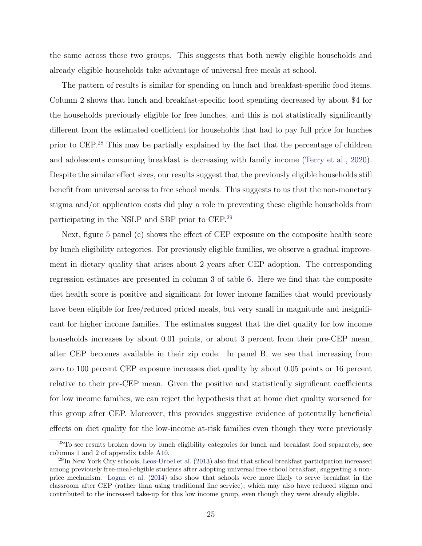the same across these two groups. This suggests that both newly eligible households and already eligible households take advantage of universal free meals at school.

The pattern of results is similar for spending on lunch and breakfast-specific food items. Column 2 shows that lunch and breakfast-specific food spending decreased by about \$4 for the households previously eligible for free lunches, and this is not statistically significantly different from the estimated coefficient for households that had to pay full price for lunches prior to CEP.[28](#page-24-0) This may be partially explained by the fact that the percentage of children and adolescents consuming breakfast is decreasing with family income [\(Terry et al.,](#page-33-7) [2020\)](#page-33-7). Despite the similar effect sizes, our results suggest that the previously eligible households still benefit from universal access to free school meals. This suggests to us that the non-monetary stigma and/or application costs did play a role in preventing these eligible households from participating in the NSLP and SBP prior to CEP.[29](#page-24-1)

Next, figure [5](#page-38-0) panel (c) shows the effect of CEP exposure on the composite health score by lunch eligibility categories. For previously eligible families, we observe a gradual improvement in dietary quality that arises about 2 years after CEP adoption. The corresponding regression estimates are presented in column 3 of table [6.](#page-45-0) Here we find that the composite diet health score is positive and significant for lower income families that would previously have been eligible for free/reduced priced meals, but very small in magnitude and insignificant for higher income families. The estimates suggest that the diet quality for low income households increases by about 0.01 points, or about 3 percent from their pre-CEP mean, after CEP becomes available in their zip code. In panel B, we see that increasing from zero to 100 percent CEP exposure increases diet quality by about 0.05 points or 16 percent relative to their pre-CEP mean. Given the positive and statistically significant coefficients for low income families, we can reject the hypothesis that at home diet quality worsened for this group after CEP. Moreover, this provides suggestive evidence of potentially beneficial effects on diet quality for the low-income at-risk families even though they were previously

<span id="page-24-0"></span><sup>&</sup>lt;sup>28</sup>To see results broken down by lunch eligibility categories for lunch and breakfast food separately, see columns 1 and 2 of appendix table [A10.](#page--1-4)

<span id="page-24-1"></span><sup>29</sup>In New York City schools, [Leos-Urbel et al.](#page-32-10) [\(2013\)](#page-32-10) also find that school breakfast participation increased among previously free-meal-eligible students after adopting universal free school breakfast, suggesting a nonprice mechanism. [Logan et al.](#page-32-6) [\(2014\)](#page-32-6) also show that schools were more likely to serve breakfast in the classroom after CEP (rather than using traditional line service), which may also have reduced stigma and contributed to the increased take-up for this low income group, even though they were already eligible.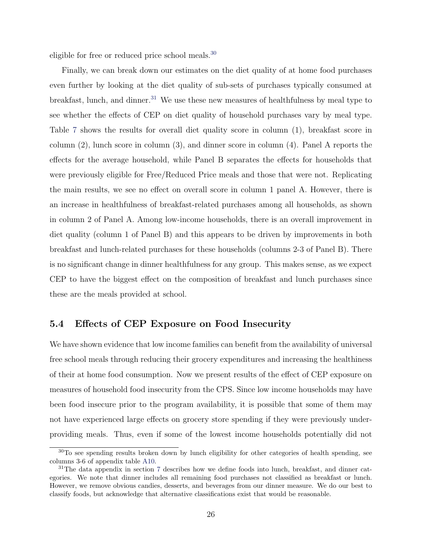eligible for free or reduced price school meals.<sup>[30](#page-25-0)</sup>

Finally, we can break down our estimates on the diet quality of at home food purchases even further by looking at the diet quality of sub-sets of purchases typically consumed at breakfast, lunch, and dinner.<sup>[31](#page-25-1)</sup> We use these new measures of healthfulness by meal type to see whether the effects of CEP on diet quality of household purchases vary by meal type. Table [7](#page-46-0) shows the results for overall diet quality score in column (1), breakfast score in column (2), lunch score in column (3), and dinner score in column (4). Panel A reports the effects for the average household, while Panel B separates the effects for households that were previously eligible for Free/Reduced Price meals and those that were not. Replicating the main results, we see no effect on overall score in column 1 panel A. However, there is an increase in healthfulness of breakfast-related purchases among all households, as shown in column 2 of Panel A. Among low-income households, there is an overall improvement in diet quality (column 1 of Panel B) and this appears to be driven by improvements in both breakfast and lunch-related purchases for these households (columns 2-3 of Panel B). There is no significant change in dinner healthfulness for any group. This makes sense, as we expect CEP to have the biggest effect on the composition of breakfast and lunch purchases since these are the meals provided at school.

#### 5.4 Effects of CEP Exposure on Food Insecurity

We have shown evidence that low income families can benefit from the availability of universal free school meals through reducing their grocery expenditures and increasing the healthiness of their at home food consumption. Now we present results of the effect of CEP exposure on measures of household food insecurity from the CPS. Since low income households may have been food insecure prior to the program availability, it is possible that some of them may not have experienced large effects on grocery store spending if they were previously underproviding meals. Thus, even if some of the lowest income households potentially did not

<span id="page-25-0"></span> $30T<sub>0</sub>$  see spending results broken down by lunch eligibility for other categories of health spending, see columns 3-6 of appendix table [A10.](#page--1-4)

<span id="page-25-1"></span><sup>&</sup>lt;sup>31</sup>The data appendix in section [7](#page--1-5) describes how we define foods into lunch, breakfast, and dinner categories. We note that dinner includes all remaining food purchases not classified as breakfast or lunch. However, we remove obvious candies, desserts, and beverages from our dinner measure. We do our best to classify foods, but acknowledge that alternative classifications exist that would be reasonable.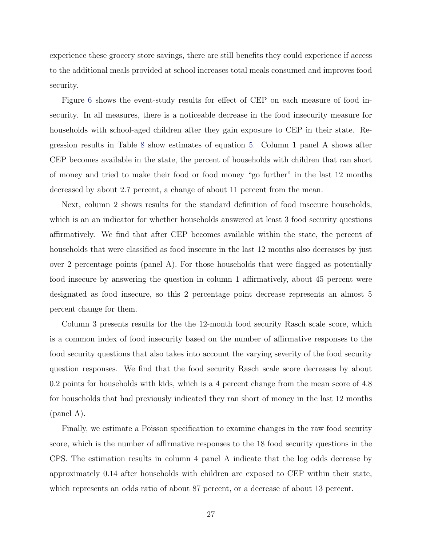experience these grocery store savings, there are still benefits they could experience if access to the additional meals provided at school increases total meals consumed and improves food security.

Figure [6](#page-39-0) shows the event-study results for effect of CEP on each measure of food insecurity. In all measures, there is a noticeable decrease in the food insecurity measure for households with school-aged children after they gain exposure to CEP in their state. Regression results in Table [8](#page-47-0) show estimates of equation [5.](#page-17-0) Column 1 panel A shows after CEP becomes available in the state, the percent of households with children that ran short of money and tried to make their food or food money "go further" in the last 12 months decreased by about 2.7 percent, a change of about 11 percent from the mean.

Next, column 2 shows results for the standard definition of food insecure households, which is an an indicator for whether households answered at least 3 food security questions affirmatively. We find that after CEP becomes available within the state, the percent of households that were classified as food insecure in the last 12 months also decreases by just over 2 percentage points (panel A). For those households that were flagged as potentially food insecure by answering the question in column 1 affirmatively, about 45 percent were designated as food insecure, so this 2 percentage point decrease represents an almost 5 percent change for them.

Column 3 presents results for the the 12-month food security Rasch scale score, which is a common index of food insecurity based on the number of affirmative responses to the food security questions that also takes into account the varying severity of the food security question responses. We find that the food security Rasch scale score decreases by about 0.2 points for households with kids, which is a 4 percent change from the mean score of 4.8 for households that had previously indicated they ran short of money in the last 12 months (panel A).

Finally, we estimate a Poisson specification to examine changes in the raw food security score, which is the number of affirmative responses to the 18 food security questions in the CPS. The estimation results in column 4 panel A indicate that the log odds decrease by approximately 0.14 after households with children are exposed to CEP within their state, which represents an odds ratio of about 87 percent, or a decrease of about 13 percent.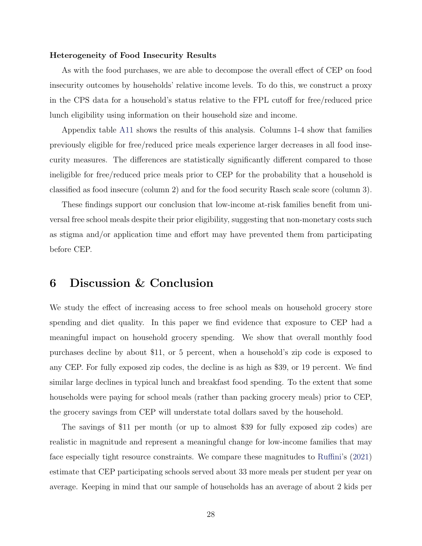#### Heterogeneity of Food Insecurity Results

As with the food purchases, we are able to decompose the overall effect of CEP on food insecurity outcomes by households' relative income levels. To do this, we construct a proxy in the CPS data for a household's status relative to the FPL cutoff for free/reduced price lunch eligibility using information on their household size and income.

Appendix table [A11](#page--1-6) shows the results of this analysis. Columns 1-4 show that families previously eligible for free/reduced price meals experience larger decreases in all food insecurity measures. The differences are statistically significantly different compared to those ineligible for free/reduced price meals prior to CEP for the probability that a household is classified as food insecure (column 2) and for the food security Rasch scale score (column 3).

These findings support our conclusion that low-income at-risk families benefit from universal free school meals despite their prior eligibility, suggesting that non-monetary costs such as stigma and/or application time and effort may have prevented them from participating before CEP.

### 6 Discussion & Conclusion

We study the effect of increasing access to free school meals on household grocery store spending and diet quality. In this paper we find evidence that exposure to CEP had a meaningful impact on household grocery spending. We show that overall monthly food purchases decline by about \$11, or 5 percent, when a household's zip code is exposed to any CEP. For fully exposed zip codes, the decline is as high as \$39, or 19 percent. We find similar large declines in typical lunch and breakfast food spending. To the extent that some households were paying for school meals (rather than packing grocery meals) prior to CEP, the grocery savings from CEP will understate total dollars saved by the household.

The savings of \$11 per month (or up to almost \$39 for fully exposed zip codes) are realistic in magnitude and represent a meaningful change for low-income families that may face especially tight resource constraints. We compare these magnitudes to [Ruffini'](#page-33-3)s [\(2021\)](#page-33-3) estimate that CEP participating schools served about 33 more meals per student per year on average. Keeping in mind that our sample of households has an average of about 2 kids per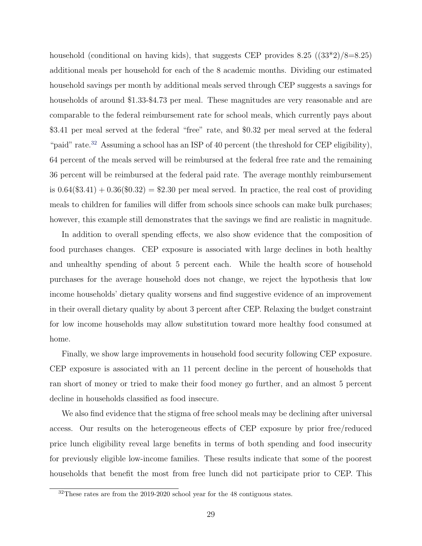household (conditional on having kids), that suggests CEP provides  $8.25$  ( $(33*2)/8=8.25$ ) additional meals per household for each of the 8 academic months. Dividing our estimated household savings per month by additional meals served through CEP suggests a savings for households of around \$1.33-\$4.73 per meal. These magnitudes are very reasonable and are comparable to the federal reimbursement rate for school meals, which currently pays about \$3.41 per meal served at the federal "free" rate, and \$0.32 per meal served at the federal "paid" rate.<sup>[32](#page-28-0)</sup> Assuming a school has an ISP of 40 percent (the threshold for CEP eligibility), 64 percent of the meals served will be reimbursed at the federal free rate and the remaining 36 percent will be reimbursed at the federal paid rate. The average monthly reimbursement is  $0.64(\$3.41) + 0.36(\$0.32) = \$2.30$  per meal served. In practice, the real cost of providing meals to children for families will differ from schools since schools can make bulk purchases; however, this example still demonstrates that the savings we find are realistic in magnitude.

In addition to overall spending effects, we also show evidence that the composition of food purchases changes. CEP exposure is associated with large declines in both healthy and unhealthy spending of about 5 percent each. While the health score of household purchases for the average household does not change, we reject the hypothesis that low income households' dietary quality worsens and find suggestive evidence of an improvement in their overall dietary quality by about 3 percent after CEP. Relaxing the budget constraint for low income households may allow substitution toward more healthy food consumed at home.

Finally, we show large improvements in household food security following CEP exposure. CEP exposure is associated with an 11 percent decline in the percent of households that ran short of money or tried to make their food money go further, and an almost 5 percent decline in households classified as food insecure.

We also find evidence that the stigma of free school meals may be declining after universal access. Our results on the heterogeneous effects of CEP exposure by prior free/reduced price lunch eligibility reveal large benefits in terms of both spending and food insecurity for previously eligible low-income families. These results indicate that some of the poorest households that benefit the most from free lunch did not participate prior to CEP. This

<span id="page-28-0"></span><sup>32</sup>These rates are from the 2019-2020 school year for the 48 contiguous states.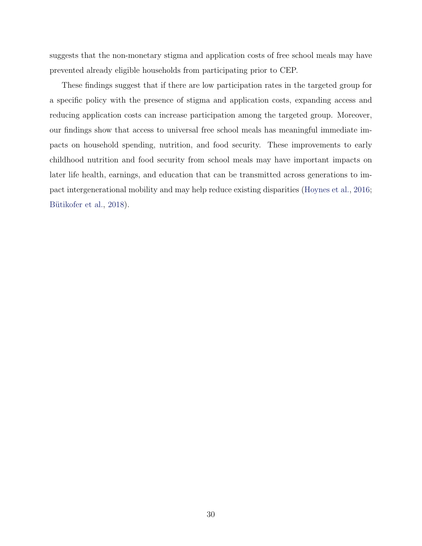suggests that the non-monetary stigma and application costs of free school meals may have prevented already eligible households from participating prior to CEP.

These findings suggest that if there are low participation rates in the targeted group for a specific policy with the presence of stigma and application costs, expanding access and reducing application costs can increase participation among the targeted group. Moreover, our findings show that access to universal free school meals has meaningful immediate impacts on household spending, nutrition, and food security. These improvements to early childhood nutrition and food security from school meals may have important impacts on later life health, earnings, and education that can be transmitted across generations to impact intergenerational mobility and may help reduce existing disparities [\(Hoynes et al.,](#page-31-1) [2016;](#page-31-1) Bütikofer et al., [2018\)](#page-30-2).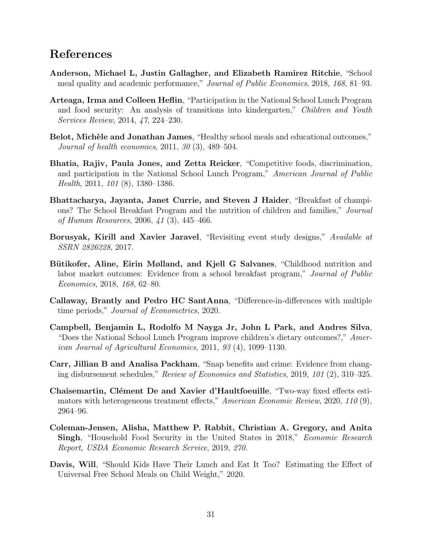### References

- <span id="page-30-6"></span>Anderson, Michael L, Justin Gallagher, and Elizabeth Ramirez Ritchie, "School meal quality and academic performance," Journal of Public Economics, 2018, 168, 81–93.
- <span id="page-30-8"></span>Arteaga, Irma and Colleen Heflin, "Participation in the National School Lunch Program and food security: An analysis of transitions into kindergarten," Children and Youth Services Review, 2014, 47, 224–230.
- <span id="page-30-7"></span>Belot, Michèle and Jonathan James, "Healthy school meals and educational outcomes," Journal of health economics, 2011, 30 (3), 489–504.
- <span id="page-30-1"></span>Bhatia, Rajiv, Paula Jones, and Zetta Reicker, "Competitive foods, discrimination, and participation in the National School Lunch Program," American Journal of Public Health, 2011, 101 (8), 1380–1386.
- <span id="page-30-5"></span>Bhattacharya, Jayanta, Janet Currie, and Steven J Haider, "Breakfast of champions? The School Breakfast Program and the nutrition of children and families," Journal of Human Resources, 2006, 41 (3), 445–466.
- <span id="page-30-11"></span>Borusyak, Kirill and Xavier Jaravel, "Revisiting event study designs," Available at SSRN 2826228, 2017.
- <span id="page-30-2"></span>Bütikofer, Aline, Eirin Mølland, and Kjell G Salvanes, "Childhood nutrition and labor market outcomes: Evidence from a school breakfast program," Journal of Public Economics, 2018, 168, 62–80.
- <span id="page-30-10"></span>Callaway, Brantly and Pedro HC SantAnna, "Difference-in-differences with multiple time periods," Journal of Econometrics, 2020.
- <span id="page-30-3"></span>Campbell, Benjamin L, Rodolfo M Nayga Jr, John L Park, and Andres Silva, "Does the National School Lunch Program improve children's dietary outcomes?," American Journal of Agricultural Economics, 2011, 93 (4), 1099–1130.
- <span id="page-30-0"></span>Carr, Jillian B and Analisa Packham, "Snap benefits and crime: Evidence from changing disbursement schedules," Review of Economics and Statistics, 2019, 101 (2), 310–325.
- <span id="page-30-12"></span>Chaisemartin, Clément De and Xavier d'Haultfoeuille, "Two-way fixed effects estimators with heterogeneous treatment effects," American Economic Review, 2020, 110 (9), 2964–96.
- <span id="page-30-9"></span>Coleman-Jensen, Alisha, Matthew P. Rabbit, Christian A. Gregory, and Anita Singh, "Household Food Security in the United States in 2018," Economic Research Report, USDA Economic Research Service, 2019, 270.
- <span id="page-30-4"></span>Davis, Will, "Should Kids Have Their Lunch and Eat It Too? Estimating the Effect of Universal Free School Meals on Child Weight," 2020.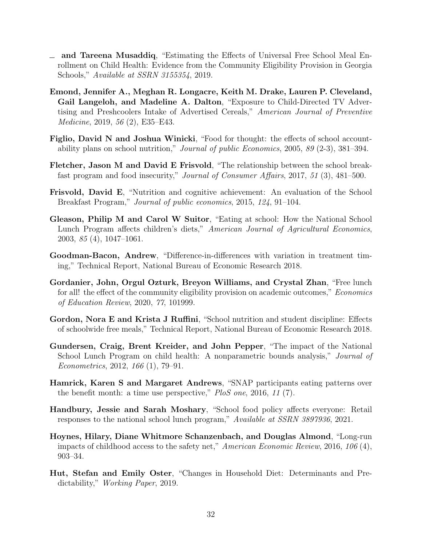- <span id="page-31-7"></span>and Tareena Musaddiq, "Estimating the Effects of Universal Free School Meal En- $\equiv$ rollment on Child Health: Evidence from the Community Eligibility Provision in Georgia Schools," Available at SSRN 3155354, 2019.
- Emond, Jennifer A., Meghan R. Longacre, Keith M. Drake, Lauren P. Cleveland, Gail Langeloh, and Madeline A. Dalton, "Exposure to Child-Directed TV Advertising and Preshcoolers Intake of Advertised Cereals," American Journal of Preventive Medicine, 2019, 56 (2), E35–E43.
- <span id="page-31-9"></span>Figlio, David N and Joshua Winicki, "Food for thought: the effects of school accountability plans on school nutrition," Journal of public Economics, 2005, 89 (2-3), 381–394.
- <span id="page-31-10"></span>Fletcher, Jason M and David E Frisvold, "The relationship between the school breakfast program and food insecurity," Journal of Consumer Affairs, 2017, 51 (3), 481–500.
- <span id="page-31-4"></span>Frisvold, David E, "Nutrition and cognitive achievement: An evaluation of the School Breakfast Program," Journal of public economics, 2015, 124, 91–104.
- <span id="page-31-3"></span>Gleason, Philip M and Carol W Suitor, "Eating at school: How the National School Lunch Program affects children's diets," American Journal of Agricultural Economics, 2003, 85 (4), 1047–1061.
- <span id="page-31-12"></span>Goodman-Bacon, Andrew, "Difference-in-differences with variation in treatment timing," Technical Report, National Bureau of Economic Research 2018.
- <span id="page-31-5"></span>Gordanier, John, Orgul Ozturk, Breyon Williams, and Crystal Zhan, "Free lunch for all! the effect of the community eligibility provision on academic outcomes," *Economics* of Education Review, 2020, 77, 101999.
- <span id="page-31-6"></span>Gordon, Nora E and Krista J Ruffini, "School nutrition and student discipline: Effects of schoolwide free meals," Technical Report, National Bureau of Economic Research 2018.
- <span id="page-31-2"></span>Gundersen, Craig, Brent Kreider, and John Pepper, "The impact of the National School Lunch Program on child health: A nonparametric bounds analysis," Journal of Econometrics, 2012, 166 (1), 79–91.
- <span id="page-31-0"></span>Hamrick, Karen S and Margaret Andrews, "SNAP participants eating patterns over the benefit month: a time use perspective,"  $P$ loS one, 2016, 11 (7).
- <span id="page-31-8"></span>Handbury, Jessie and Sarah Moshary, "School food policy affects everyone: Retail responses to the national school lunch program," Available at SSRN 3897936, 2021.
- <span id="page-31-1"></span>Hoynes, Hilary, Diane Whitmore Schanzenbach, and Douglas Almond, "Long-run impacts of childhood access to the safety net," American Economic Review, 2016, 106 (4), 903–34.
- <span id="page-31-11"></span>Hut, Stefan and Emily Oster, "Changes in Household Diet: Determinants and Predictability," Working Paper, 2019.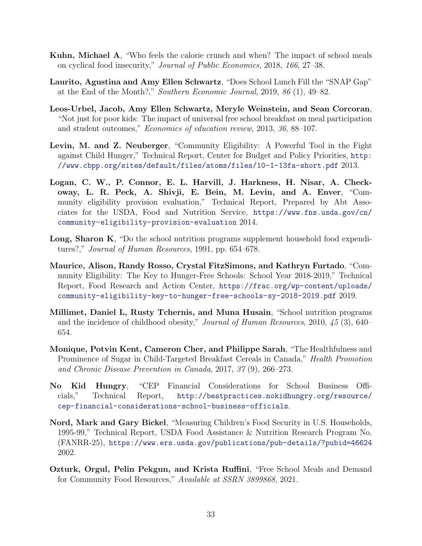- <span id="page-32-0"></span>Kuhn, Michael A, "Who feels the calorie crunch and when? The impact of school meals on cyclical food insecurity," Journal of Public Economics, 2018, 166, 27–38.
- <span id="page-32-1"></span>Laurito, Agustina and Amy Ellen Schwartz, "Does School Lunch Fill the "SNAP Gap" at the End of the Month?," Southern Economic Journal, 2019, 86 (1), 49–82.
- <span id="page-32-10"></span>Leos-Urbel, Jacob, Amy Ellen Schwartz, Meryle Weinstein, and Sean Corcoran, "Not just for poor kids: The impact of universal free school breakfast on meal participation and student outcomes," Economics of education review, 2013, 36, 88–107.
- <span id="page-32-8"></span>Levin, M. and Z. Neuberger, "Community Eligibility: A Powerful Tool in the Fight against Child Hunger," Technical Report, Center for Budget and Policy Priorities, [http:](http://www.cbpp.org/sites/default/files/atoms/files/10-1-13fa-short.pdf) [//www.cbpp.org/sites/default/files/atoms/files/10-1-13fa-short.pdf](http://www.cbpp.org/sites/default/files/atoms/files/10-1-13fa-short.pdf) 2013.
- <span id="page-32-6"></span>Logan, C. W., P. Connor, E. L. Harvill, J. Harkness, H. Nisar, A. Checkoway, L. R. Peck, A. Shivji, E. Bein, M. Levin, and A. Enver, "Community eligibility provision evaluation," Technical Report, Prepared by Abt Associates for the USDA, Food and Nutrition Service, [https://www.fns.usda.gov/cn/](https://www.fns.usda.gov/cn/community-eligibility-provision-evaluation) [community-eligibility-provision-evaluation](https://www.fns.usda.gov/cn/community-eligibility-provision-evaluation) 2014.
- <span id="page-32-4"></span>Long, Sharon K, "Do the school nutrition programs supplement household food expenditures?," Journal of Human Resources, 1991, pp. 654–678.
- <span id="page-32-2"></span>Maurice, Alison, Randy Rosso, Crystal FitzSimons, and Kathryn Furtado, "Community Eligibility: The Key to Hunger-Free Schools: School Year 2018-2019," Technical Report, Food Research and Action Center, [https://frac.org/wp-content/uploads/](https://frac.org/wp-content/uploads/community-eligibility-key-to-hunger-free-schools-sy-2018-2019.pdf) [community-eligibility-key-to-hunger-free-schools-sy-2018-2019.pdf](https://frac.org/wp-content/uploads/community-eligibility-key-to-hunger-free-schools-sy-2018-2019.pdf) 2019.
- <span id="page-32-3"></span>Millimet, Daniel L, Rusty Tchernis, and Muna Husain, "School nutrition programs and the incidence of childhood obesity," Journal of Human Resources, 2010, 45 (3), 640– 654.
- Monique, Potvin Kent, Cameron Cher, and Philippe Sarah, "The Healthfulness and Prominence of Sugar in Child-Targeted Breakfast Cereals in Canada," Health Promotion and Chronic Disease Prevention in Canada, 2017, 37 (9), 266–273.
- <span id="page-32-7"></span>No Kid Hungry, "CEP Financial Considerations for School Business Officials," Technical Report, [http://bestpractices.nokidhungry.org/resource/](http://bestpractices.nokidhungry.org/resource/cep-financial-considerations-school-business-officials) [cep-financial-considerations-school-business-officials](http://bestpractices.nokidhungry.org/resource/cep-financial-considerations-school-business-officials).
- <span id="page-32-9"></span>Nord, Mark and Gary Bickel, "Measuring Children's Food Security in U.S. Households, 1995-99," Technical Report, USDA Food Assistance & Nutrition Research Program No. (FANRR-25), <https://www.ers.usda.gov/publications/pub-details/?pubid=46624> 2002.
- <span id="page-32-5"></span>Ozturk, Orgul, Pelin Pekgun, and Krista Ruffini, "Free School Meals and Demand for Community Food Resources," Available at SSRN 3899868, 2021.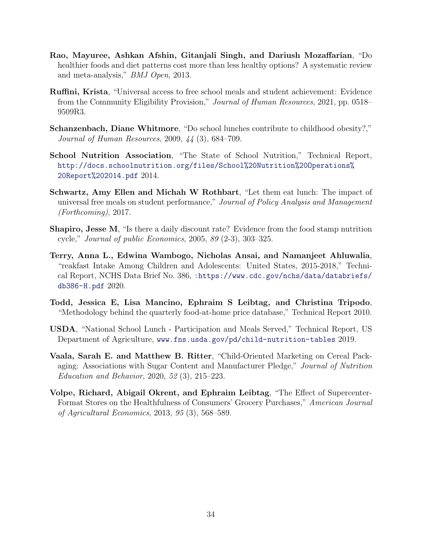- <span id="page-33-6"></span>Rao, Mayuree, Ashkan Afshin, Gitanjali Singh, and Dariush Mozaffarian, "Do healthier foods and diet patterns cost more than less healthy options? A systematic review and meta-analysis," BMJ Open, 2013.
- <span id="page-33-3"></span>Ruffini, Krista, "Universal access to free school meals and student achievement: Evidence from the Community Eligibility Provision," Journal of Human Resources, 2021, pp. 0518– 9509R3.
- <span id="page-33-5"></span>Schanzenbach, Diane Whitmore, "Do school lunches contribute to childhood obesity?," Journal of Human Resources, 2009, 44 (3), 684–709.
- <span id="page-33-2"></span>School Nutrition Association, "The State of School Nutrition," Technical Report, [http://docs.schoolnutrition.org/files/School%20Nutrition%20Operations%](http://docs.schoolnutrition.org/files/School%20Nutrition%20Operations%20Report%202014.pdf) [20Report%202014.pdf](http://docs.schoolnutrition.org/files/School%20Nutrition%20Operations%20Report%202014.pdf) 2014.
- <span id="page-33-4"></span>Schwartz, Amy Ellen and Michah W Rothbart, "Let them eat lunch: The impact of universal free meals on student performance," Journal of Policy Analysis and Management (Forthcoming), 2017.
- <span id="page-33-1"></span>Shapiro, Jesse M, "Is there a daily discount rate? Evidence from the food stamp nutrition cycle," Journal of public Economics, 2005, 89 (2-3), 303–325.
- <span id="page-33-7"></span>Terry, Anna L., Edwina Wambogo, Nicholas Ansai, and Namanjeet Ahluwalia, "reakfast Intake Among Children and Adolescents: United States, 2015-2018," Technical Report, NCHS Data Brief No. 386, [:https://www.cdc.gov/nchs/data/databriefs/](:https://www.cdc.gov/nchs/data/databriefs/db386-H.pdf) [db386-H.pdf](:https://www.cdc.gov/nchs/data/databriefs/db386-H.pdf) 2020.
- Todd, Jessica E, Lisa Mancino, Ephraim S Leibtag, and Christina Tripodo, "Methodology behind the quarterly food-at-home price database," Technical Report 2010.
- <span id="page-33-0"></span>USDA, "National School Lunch - Participation and Meals Served," Technical Report, US Department of Agriculture, <www.fns.usda.gov/pd/child-nutrition-tables> 2019.
- Vaala, Sarah E. and Matthew B. Ritter, "Child-Oriented Marketing on Cereal Packaging: Associations with Sugar Content and Manufacturer Pledge," Journal of Nutrition Education and Behavior, 2020, 52 (3), 215–223.
- Volpe, Richard, Abigail Okrent, and Ephraim Leibtag, "The Effect of Supercenter-Format Stores on the Healthfulness of Consumers' Grocery Purchases," American Journal of Agricultural Economics, 2013, 95 (3), 568–589.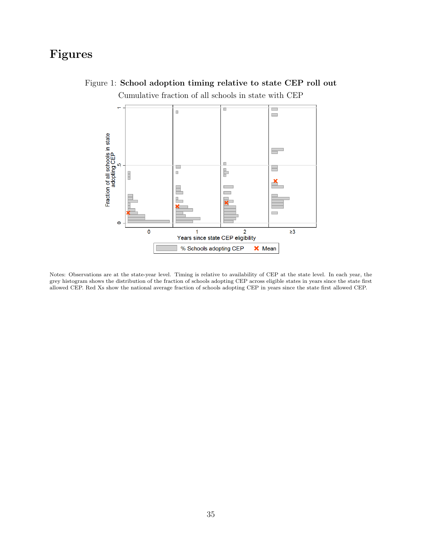# <span id="page-34-0"></span>Figures



### Figure 1: School adoption timing relative to state CEP roll out Cumulative fraction of all schools in state with CEP

Notes: Observations are at the state-year level. Timing is relative to availability of CEP at the state level. In each year, the grey histogram shows the distribution of the fraction of schools adopting CEP across eligible states in years since the state first allowed CEP. Red Xs show the national average fraction of schools adopting CEP in years since the state first allowed CEP.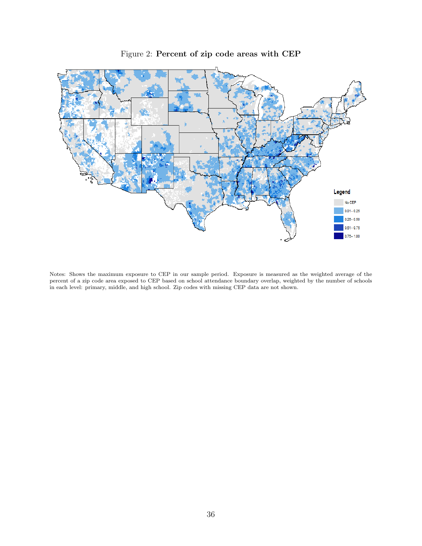<span id="page-35-0"></span>

Figure 2: Percent of zip code areas with CEP

Notes: Shows the maximum exposure to CEP in our sample period. Exposure is measured as the weighted average of the percent of a zip code area exposed to CEP based on school attendance boundary overlap, weighted by the number of schools in each level: primary, middle, and high school. Zip codes with missing CEP data are not shown.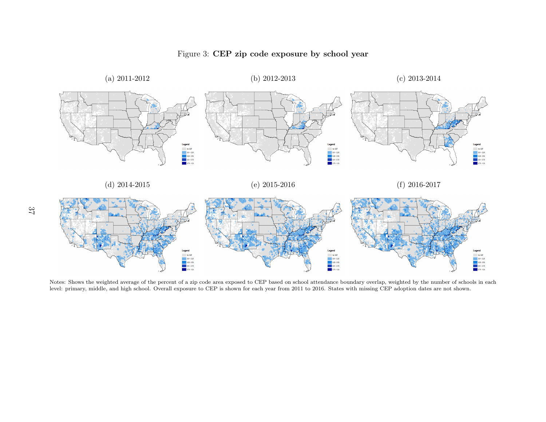

### <span id="page-36-0"></span>Figure 3: CEP zip code exposure by school year

Notes: Shows the weighted average of the percent of a zip code area exposed to CEP based on school attendance boundary overlap, weighted by the number of schools in each level: primary, middle, and high school. Overall exposure to CEP is shown for each year from 2011 to 2016. States with missing CEP adoption dates are not shown.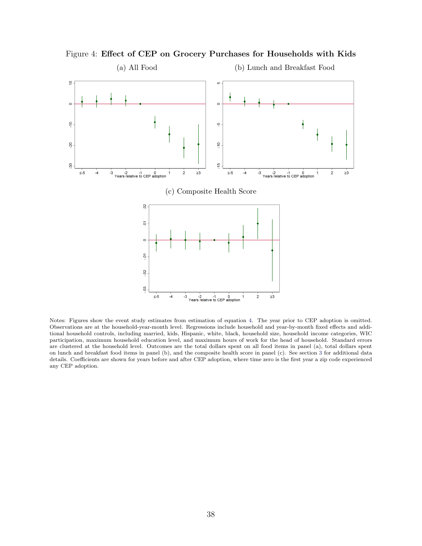<span id="page-37-0"></span>

Figure 4: Effect of CEP on Grocery Purchases for Households with Kids

Notes: Figures show the event study estimates from estimation of equation [4.](#page-16-1) The year prior to CEP adoption is omitted. Observations are at the household-year-month level. Regressions include household and year-by-month fixed effects and additional household controls, including married, kids, Hispanic, white, black, household size, household income categories, WIC participation, maximum household education level, and maximum hours of work for the head of household. Standard errors are clustered at the household level. Outcomes are the total dollars spent on all food items in panel (a), total dollars spent on lunch and breakfast food items in panel (b), and the composite health score in panel (c). See section [3](#page-9-3) for additional data details. Coefficients are shown for years before and after CEP adoption, where time zero is the first year a zip code experienced any CEP adoption.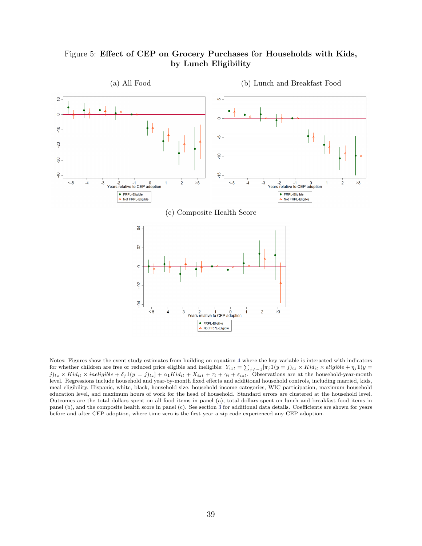

<span id="page-38-0"></span>Figure 5: Effect of CEP on Grocery Purchases for Households with Kids, by Lunch Eligibility

Notes: Figures show the event study estimates from building on equation [4](#page-16-1) where the key variable is interacted with indicators for whether children are free or reduced price eligible and ineligible:  $Y_{izt} = \sum_{j\neq -1} [\pi_j 1(y=j)_{tz} \times Kid_{it} \times eligible + \eta_j 1(y=j)_{tz}$  $j)_{tz} \times Kid_{it} \times ineligible + \delta_j \mathbb{1}(y=j)_{tz}] + \alpha_1 Kid_{it} + X_{izt} + \tau_t + \gamma_i + \varepsilon_{izt}$ . Observations are at the household-year-month level. Regressions include household and year-by-month fixed effects and additional household controls, including married, kids, meal eligibility, Hispanic, white, black, household size, household income categories, WIC participation, maximum household education level, and maximum hours of work for the head of household. Standard errors are clustered at the household level. Outcomes are the total dollars spent on all food items in panel (a), total dollars spent on lunch and breakfast food items in panel (b), and the composite health score in panel (c). See section [3](#page-9-3) for additional data details. Coefficients are shown for years before and after CEP adoption, where time zero is the first year a zip code experienced any CEP adoption.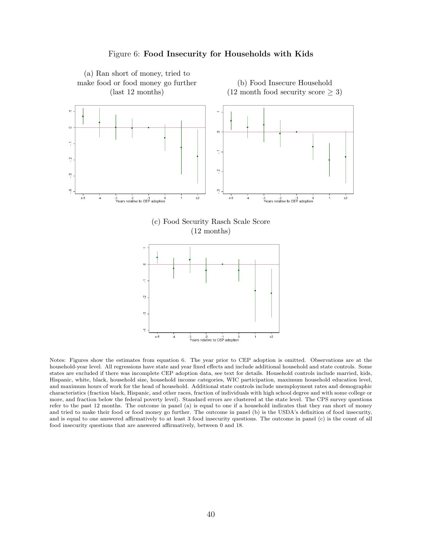<span id="page-39-0"></span>

Figure 6: Food Insecurity for Households with Kids

Notes: Figures show the estimates from equation [6.](#page-17-1) The year prior to CEP adoption is omitted. Observations are at the household-year level. All regressions have state and year fixed effects and include additional household and state controls. Some states are excluded if there was incomplete CEP adoption data, see text for details. Household controls include married, kids, Hispanic, white, black, household size, household income categories, WIC participation, maximum household education level, and maximum hours of work for the head of household. Additional state controls include unemployment rates and demographic characteristics (fraction black, Hispanic, and other races, fraction of individuals with high school degree and with some college or more, and fraction below the federal poverty level). Standard errors are clustered at the state level. The CPS survey questions refer to the past 12 months. The outcome in panel (a) is equal to one if a household indicates that they ran short of money and tried to make their food or food money go further. The outcome in panel (b) is the USDA's definition of food insecurity, and is equal to one answered affirmatively to at least 3 food insecurity questions. The outcome in panel (c) is the count of all food insecurity questions that are answered affirmatively, between 0 and 18.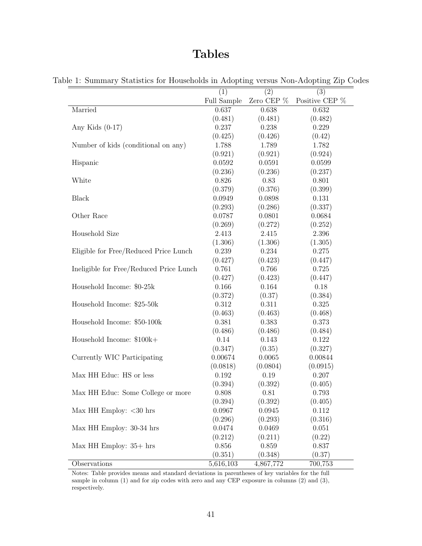# Tables

|                                         | (1)         | (2)           | (3)            |
|-----------------------------------------|-------------|---------------|----------------|
|                                         | Full Sample | Zero CEP $\%$ | Positive CEP % |
| Married                                 | 0.637       | 0.638         | 0.632          |
|                                         | (0.481)     | (0.481)       | (0.482)        |
| Any Kids $(0-17)$                       | 0.237       | 0.238         | 0.229          |
|                                         | (0.425)     | (0.426)       | (0.42)         |
| Number of kids (conditional on any)     | 1.788       | 1.789         | 1.782          |
|                                         | (0.921)     | (0.921)       | (0.924)        |
| Hispanic                                | 0.0592      | 0.0591        | 0.0599         |
|                                         | (0.236)     | (0.236)       | (0.237)        |
| White                                   | 0.826       | 0.83          | 0.801          |
|                                         | (0.379)     | (0.376)       | (0.399)        |
| <b>Black</b>                            | 0.0949      | 0.0898        | 0.131          |
|                                         | (0.293)     | (0.286)       | (0.337)        |
| Other Race                              | 0.0787      | 0.0801        | 0.0684         |
|                                         | (0.269)     | (0.272)       | (0.252)        |
| Household Size                          | 2.413       | 2.415         | 2.396          |
|                                         | (1.306)     | (1.306)       | (1.305)        |
| Eligible for Free/Reduced Price Lunch   | 0.239       | 0.234         | 0.275          |
|                                         | (0.427)     | (0.423)       | (0.447)        |
| Ineligible for Free/Reduced Price Lunch | 0.761       | 0.766         | 0.725          |
|                                         | (0.427)     | (0.423)       | (0.447)        |
| Household Income: \$0-25k               | 0.166       | 0.164         | 0.18           |
|                                         | (0.372)     | (0.37)        | (0.384)        |
| Household Income: \$25-50k              | 0.312       | 0.311         | 0.325          |
|                                         | (0.463)     | (0.463)       | (0.468)        |
| Household Income: \$50-100k             | 0.381       | 0.383         | 0.373          |
|                                         | (0.486)     | (0.486)       | (0.484)        |
| Household Income: \$100k+               | 0.14        | 0.143         | 0.122          |
|                                         | (0.347)     | (0.35)        | (0.327)        |
| Currently WIC Participating             | 0.00674     | 0.0065        | 0.00844        |
|                                         | (0.0818)    | (0.0804)      | (0.0915)       |
| Max HH Educ: HS or less                 | 0.192       | 0.19          | 0.207          |
|                                         | (0.394)     | (0.392)       | (0.405)        |
| Max HH Educ: Some College or more       | 0.808       | 0.81          | 0.793          |
|                                         | (0.394)     | (0.392)       | (0.405)        |
| Max HH Employ: $<$ 30 hrs               | 0.0967      | 0.0945        | 0.112          |
|                                         | (0.296)     | (0.293)       | (0.316)        |
| Max HH Employ: 30-34 hrs                | 0.0474      | 0.0469        | 0.051          |
|                                         | (0.212)     | (0.211)       | (0.22)         |
| Max HH Employ: $35+$ hrs                | 0.856       | 0.859         | 0.837          |
|                                         | (0.351)     | (0.348)       | (0.37)         |
| Observations                            | 5,616,103   | 4,867,772     | 700,753        |

<span id="page-40-0"></span>Table 1: Summary Statistics for Households in Adopting versus Non-Adopting Zip Codes

Notes: Table provides means and standard deviations in parentheses of key variables for the full sample in column (1) and for zip codes with zero and any CEP exposure in columns (2) and (3), respectively.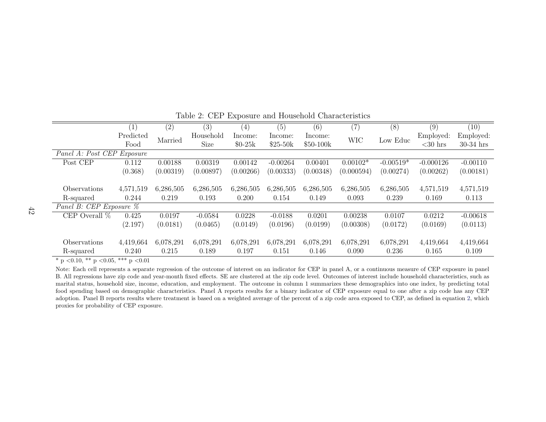|                            | $\left  \right $ | (2)       | (3)         | (4)       | (5)        | (6)        | (7)        | (8)         | (9)         | (10)        |
|----------------------------|------------------|-----------|-------------|-----------|------------|------------|------------|-------------|-------------|-------------|
|                            | Predicted        | Married   | Household   | Income:   | Income:    | Income:    | <b>WIC</b> | Low Educ    | Employed:   | Employed:   |
|                            | Food             |           | <b>Size</b> | $$0-25k$  | $$25-50k$  | $$50-100k$ |            |             | $<$ 30 hrs  | $30-34$ hrs |
| Panel A: Post CEP Exposure |                  |           |             |           |            |            |            |             |             |             |
| Post CEP                   | 0.112            | 0.00188   | 0.00319     | 0.00142   | $-0.00264$ | 0.00401    | $0.00102*$ | $-0.00519*$ | $-0.000126$ | $-0.00110$  |
|                            | (0.368)          | (0.00319) | (0.00897)   | (0.00266) | (0.00333)  | (0.00348)  | (0.000594) | (0.00274)   | (0.00262)   | (0.00181)   |
|                            |                  |           |             |           |            |            |            |             |             |             |
| Observations               | 4,571,519        | 6,286,505 | 6,286,505   | 6,286,505 | 6,286,505  | 6,286,505  | 6,286,505  | 6,286,505   | 4,571,519   | 4,571,519   |
| R-squared                  | 0.244            | 0.219     | 0.193       | 0.200     | 0.154      | 0.149      | 0.093      | 0.239       | 0.169       | 0.113       |
| Panel B: CEP Exposure $\%$ |                  |           |             |           |            |            |            |             |             |             |
| CEP Overall $\%$           | 0.425            | 0.0197    | $-0.0584$   | 0.0228    | $-0.0188$  | 0.0201     | 0.00238    | 0.0107      | 0.0212      | $-0.00618$  |
|                            | (2.197)          | (0.0181)  | (0.0465)    | (0.0149)  | (0.0196)   | (0.0199)   | (0.00308)  | (0.0172)    | (0.0169)    | (0.0113)    |
|                            |                  |           |             |           |            |            |            |             |             |             |
| Observations               | 4,419,664        | 6,078,291 | 6,078,291   | 6,078,291 | 6,078,291  | 6,078,291  | 6,078,291  | 6,078,291   | 4,419,664   | 4,419,664   |
| R-squared                  | 0.240            | 0.215     | 0.189       | 0.197     | 0.151      | 0.146      | 0.090      | 0.236       | 0.165       | 0.109       |

Table 2: CEP Exposure and Household Characteristics

<span id="page-41-0"></span>Note: Each cell represents a separate regression of the outcome of interest on an indicator for CEP in panel A, or a continuous measure of CEP exposure in panel B. All regressions have zip code and year-month fixed effects. SE are clustered at the zip code level. Outcomes of interest include household characteristics, such as marital status, household size, income, education, and employment. The outcome in column 1 summarizes these demographics into one index, by predicting total food spending based on demographic characteristics. Panel A reports results for <sup>a</sup> binary indicator of CEP exposure equal to one after <sup>a</sup> zip code has any CEPadoption. Panel B reports results where treatment is based on a weighted average of the percent of a zip code area exposed to CEP, as defined in equation [2,](#page-14-3) which proxies for probability of CEP exposure.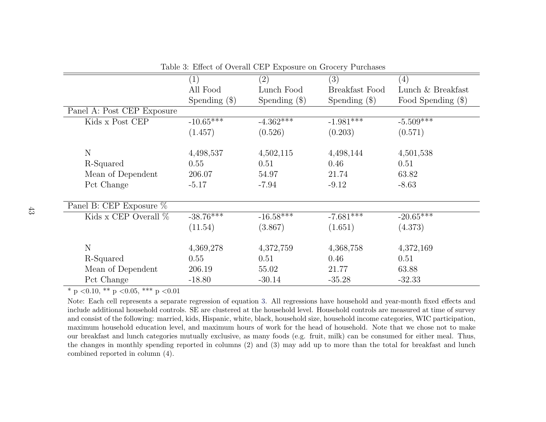|                            | (1)             | (2)             | (3)             | (4)                |
|----------------------------|-----------------|-----------------|-----------------|--------------------|
|                            | All Food        | Lunch Food      | Breakfast Food  | Lunch & Breakfast  |
|                            | Spending $(\$)$ | Spending $(\$)$ | Spending $(\$)$ | Food Spending (\$) |
| Panel A: Post CEP Exposure |                 |                 |                 |                    |
| Kids x Post CEP            | $-10.65***$     | $-4.362***$     | $-1.981$ ***    | $-5.509***$        |
|                            | (1.457)         | (0.526)         | (0.203)         | (0.571)            |
|                            |                 |                 |                 |                    |
| N                          | 4,498,537       | 4,502,115       | 4,498,144       | 4,501,538          |
| R-Squared                  | 0.55            | 0.51            | 0.46            | 0.51               |
| Mean of Dependent          | 206.07          | 54.97           | 21.74           | 63.82              |
| Pct Change                 | $-5.17$         | $-7.94$         | $-9.12$         | $-8.63$            |
|                            |                 |                 |                 |                    |
| Panel B: CEP Exposure $%$  |                 |                 |                 |                    |
| Kids x CEP Overall $\%$    | $-38.76***$     | $-16.58***$     | $-7.681$ ***    | $-20.65***$        |
|                            | (11.54)         | (3.867)         | (1.651)         | (4.373)            |
|                            |                 |                 |                 |                    |
| N                          | 4,369,278       | 4,372,759       | 4,368,758       | 4,372,169          |
| R-Squared                  | 0.55            | 0.51            | 0.46            | 0.51               |
| Mean of Dependent          | 206.19          | 55.02           | 21.77           | 63.88              |
| Pct Change                 | $-18.80$        | $-30.14$        | $-35.28$        | $-32.33$           |
|                            |                 |                 |                 |                    |

Table 3: Effect of Overall CEP Exposure on Grocery Purchases

<span id="page-42-0"></span> Note: Each cell represents <sup>a</sup> separate regression of equation [3.](#page-15-2) All regressions have household and year-month fixed effects and include additional household controls. SE are clustered at the household level. Household controls are measured at time of survey and consist of the following: married, kids, Hispanic, white, black, household size, household income categories, WIC participation, maximum household education level, and maximum hours of work for the head of household. Note that we chose not to make our breakfast and lunch categories mutually exclusive, as many foods (e.g. fruit, milk) can be consumed for either meal. Thus, the changes in monthly spending reported in columns (2) and (3) may add up to more than the total for breakfast and lunchcombined reported in column (4).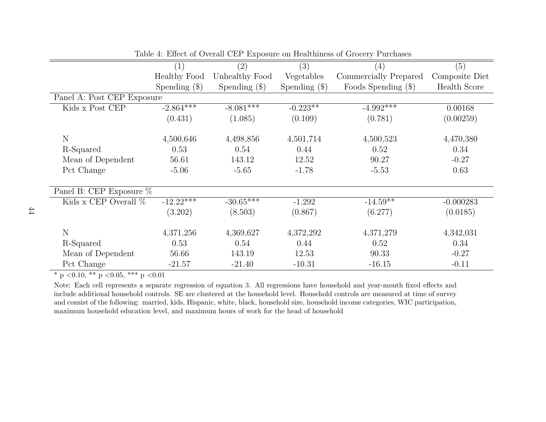|                            | (1)                 | $\left( 2\right)$ | $\overline{(3)}$ | (4)                   | (5)            |
|----------------------------|---------------------|-------------------|------------------|-----------------------|----------------|
|                            | <b>Healthy Food</b> | Unhealthy Food    | Vegetables       | Commercially Prepared | Composite Diet |
|                            | Spending $(\$)$     | Spending $(\$)$   | Spending $(\$)$  | Foods Spending $(\$)$ | Health Score   |
| Panel A: Post CEP Exposure |                     |                   |                  |                       |                |
| Kids x Post CEP            | $-2.864***$         | $-8.081***$       | $-0.223**$       | $-4.992***$           | 0.00168        |
|                            | (0.431)             | (1.085)           | (0.109)          | (0.781)               | (0.00259)      |
|                            |                     |                   |                  |                       |                |
| $\mathbf N$                | 4,500,646           | 4,498,856         | 4,501,714        | 4,500,523             | 4,470,380      |
| R-Squared                  | 0.53                | 0.54              | 0.44             | 0.52                  | 0.34           |
| Mean of Dependent          | 56.61               | 143.12            | 12.52            | 90.27                 | $-0.27$        |
| Pct Change                 | $-5.06$             | $-5.65$           | $-1.78$          | $-5.53$               | 0.63           |
|                            |                     |                   |                  |                       |                |
| Panel B: CEP Exposure $%$  |                     |                   |                  |                       |                |
| Kids x CEP Overall $\%$    | $-12.22$ ***        | $-30.65***$       | $-1.292$         | $-14.59**$            | $-0.000283$    |
|                            | (3.202)             | (8.503)           | (0.867)          | (6.277)               | (0.0185)       |
|                            |                     |                   |                  |                       |                |
| $\mathbf N$                | 4,371,256           | 4,369,627         | 4,372,292        | 4,371,279             | 4,342,031      |
| R-Squared                  | 0.53                | 0.54              | 0.44             | 0.52                  | 0.34           |
| Mean of Dependent          | 56.66               | 143.19            | 12.53            | 90.33                 | $-0.27$        |
| Pct Change                 | $-21.57$            | $-21.40$          | $-10.31$         | $-16.15$              | $-0.11$        |

Table 4: Effect of Overall CEP Exposure on Healthiness of Grocery Purchases

<span id="page-43-0"></span> Note: Each cell represents <sup>a</sup> separate regression of equation [3.](#page-15-2) All regressions have household and year-month fixed effects and include additional household controls. SE are clustered at the household level. Household controls are measured at time of survey and consist of the following: married, kids, Hispanic, white, black, household size, household income categories, WIC participation,maximum household education level, and maximum hours of work for the head of household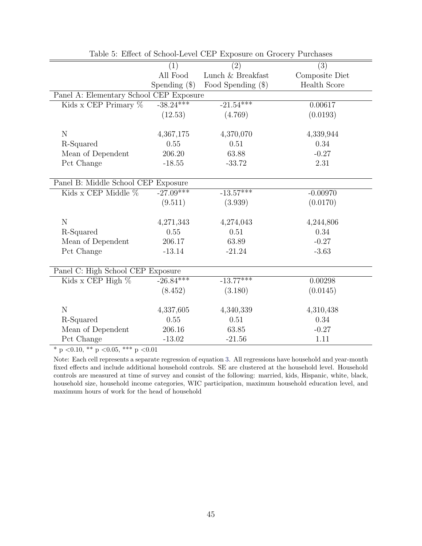<span id="page-44-0"></span>

|                                         |                 | $\frac{1}{2}$ and $\frac{1}{2}$ and $\frac{1}{2}$ and $\frac{1}{2}$ are $\frac{1}{2}$ and $\frac{1}{2}$ are $\frac{1}{2}$ and $\frac{1}{2}$ are $\frac{1}{2}$ and $\frac{1}{2}$ are $\frac{1}{2}$ and $\frac{1}{2}$ are $\frac{1}{2}$ and $\frac{1}{2}$ are $\frac{1}{2}$ and $\frac{1}{2}$ a |                |
|-----------------------------------------|-----------------|-----------------------------------------------------------------------------------------------------------------------------------------------------------------------------------------------------------------------------------------------------------------------------------------------|----------------|
|                                         | (1)             | (2)                                                                                                                                                                                                                                                                                           | (3)            |
|                                         | All Food        | Lunch & Breakfast                                                                                                                                                                                                                                                                             | Composite Diet |
|                                         | Spending $(\$)$ | Food Spending $(\$)$                                                                                                                                                                                                                                                                          | Health Score   |
| Panel A: Elementary School CEP Exposure |                 |                                                                                                                                                                                                                                                                                               |                |
| Kids x CEP Primary $%$                  | $-38.24***$     | $-21.54***$                                                                                                                                                                                                                                                                                   | 0.00617        |
|                                         | (12.53)         | (4.769)                                                                                                                                                                                                                                                                                       | (0.0193)       |
|                                         |                 |                                                                                                                                                                                                                                                                                               |                |
| $\mathbf N$                             | 4,367,175       | 4,370,070                                                                                                                                                                                                                                                                                     | 4,339,944      |
| R-Squared                               | 0.55            | 0.51                                                                                                                                                                                                                                                                                          | 0.34           |
| Mean of Dependent                       | 206.20          | 63.88                                                                                                                                                                                                                                                                                         | $-0.27$        |
| Pct Change                              | $-18.55$        | $-33.72$                                                                                                                                                                                                                                                                                      | 2.31           |
|                                         |                 |                                                                                                                                                                                                                                                                                               |                |
| Panel B: Middle School CEP Exposure     |                 |                                                                                                                                                                                                                                                                                               |                |
| Kids x CEP Middle %                     | $-27.09***$     | $-13.57***$                                                                                                                                                                                                                                                                                   | $-0.00970$     |
|                                         | (9.511)         | (3.939)                                                                                                                                                                                                                                                                                       | (0.0170)       |
|                                         |                 |                                                                                                                                                                                                                                                                                               |                |
| ${\rm N}$                               | 4,271,343       | 4,274,043                                                                                                                                                                                                                                                                                     | 4,244,806      |
| R-Squared                               | 0.55            | 0.51                                                                                                                                                                                                                                                                                          | 0.34           |
| Mean of Dependent                       | 206.17          | 63.89                                                                                                                                                                                                                                                                                         | $-0.27$        |
| Pct Change                              | $-13.14$        | $-21.24$                                                                                                                                                                                                                                                                                      | $-3.63$        |
|                                         |                 |                                                                                                                                                                                                                                                                                               |                |
| Panel C: High School CEP Exposure       |                 |                                                                                                                                                                                                                                                                                               |                |
| Kids x CEP High $%$                     | $-26.84***$     | $-13.77***$                                                                                                                                                                                                                                                                                   | 0.00298        |
|                                         | (8.452)         | (3.180)                                                                                                                                                                                                                                                                                       | (0.0145)       |
|                                         |                 |                                                                                                                                                                                                                                                                                               |                |
| $\mathbf N$                             | 4,337,605       | 4,340,339                                                                                                                                                                                                                                                                                     | 4,310,438      |
| R-Squared                               | 0.55            | 0.51                                                                                                                                                                                                                                                                                          | 0.34           |
| Mean of Dependent                       | 206.16          | 63.85                                                                                                                                                                                                                                                                                         | $-0.27$        |
| Pct Change                              | $-13.02$        | $-21.56$                                                                                                                                                                                                                                                                                      | 1.11           |

Table 5: Effect of School-Level CEP Exposure on Grocery Purchases

Note: Each cell represents a separate regression of equation [3.](#page-15-1) All regressions have household and year-month fixed effects and include additional household controls. SE are clustered at the household level. Household controls are measured at time of survey and consist of the following: married, kids, Hispanic, white, black, household size, household income categories, WIC participation, maximum household education level, and maximum hours of work for the head of household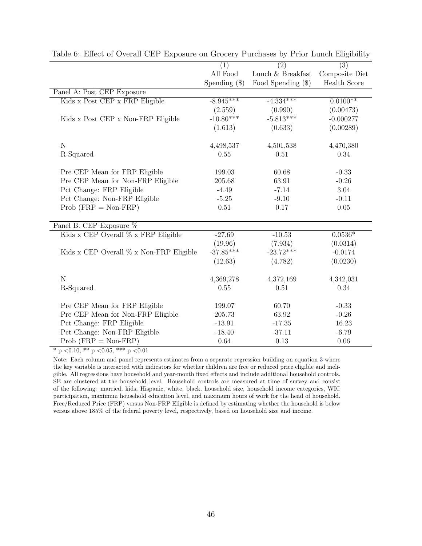|                                         | (1)             | $\overline{(2)}$     | $\overline{(3)}$    |
|-----------------------------------------|-----------------|----------------------|---------------------|
|                                         | All Food        | Lunch & Breakfast    | Composite Diet      |
|                                         | Spending $(\$)$ | Food Spending $(\$)$ | <b>Health Score</b> |
| Panel A: Post CEP Exposure              |                 |                      |                     |
| Kids x Post CEP x FRP Eligible          | $-8.945***$     | $-4.334***$          | $0.0100**$          |
|                                         | (2.559)         | (0.990)              | (0.00473)           |
| Kids x Post CEP x Non-FRP Eligible      | $-10.80***$     | $-5.813***$          | $-0.000277$         |
|                                         | (1.613)         | (0.633)              | (0.00289)           |
| $\mathbf N$                             | 4,498,537       | 4,501,538            | 4,470,380           |
| R-Squared                               | 0.55            | 0.51                 | 0.34                |
| Pre CEP Mean for FRP Eligible           | 199.03          | 60.68                | $-0.33$             |
| Pre CEP Mean for Non-FRP Eligible       | 205.68          | 63.91                | $-0.26$             |
| Pct Change: FRP Eligible                | $-4.49$         | $-7.14$              | 3.04                |
| Pct Change: Non-FRP Eligible            | $-5.25$         | $-9.10$              | $-0.11$             |
| $Prob (FRP = Non-FRP)$                  | 0.51            | 0.17                 | $0.05\,$            |
| Panel B: CEP Exposure %                 |                 |                      |                     |
| Kids x CEP Overall % x FRP Eligible     | $-27.69$        | $-10.53$             | $0.0536*$           |
|                                         | (19.96)         | (7.934)              | (0.0314)            |
| Kids x CEP Overall % x Non-FRP Eligible | $-37.85***$     | $-23.72***$          | $-0.0174$           |
|                                         | (12.63)         | (4.782)              | (0.0230)            |
| $\mathbf N$                             | 4,369,278       | 4,372,169            | 4,342,031           |
| R-Squared                               | 0.55            | 0.51                 | 0.34                |
| Pre CEP Mean for FRP Eligible           | 199.07          | 60.70                | $-0.33$             |
| Pre CEP Mean for Non-FRP Eligible       | 205.73          | 63.92                | $-0.26$             |
| Pct Change: FRP Eligible                | $-13.91$        | $-17.35$             | 16.23               |
| Pct Change: Non-FRP Eligible            | $-18.40$        | $-37.11$             | $-6.79$             |
| $Prob (FRP = Non-FRP)$                  | 0.64            | 0.13                 | 0.06                |

<span id="page-45-0"></span>Table 6: Effect of Overall CEP Exposure on Grocery Purchases by Prior Lunch Eligibility

Note: Each column and panel represents estimates from a separate regression building on equation [3](#page-15-1) where the key variable is interacted with indicators for whether children are free or reduced price eligible and ineligible. All regressions have household and year-month fixed effects and include additional household controls. SE are clustered at the household level. Household controls are measured at time of survey and consist of the following: married, kids, Hispanic, white, black, household size, household income categories, WIC participation, maximum household education level, and maximum hours of work for the head of household. Free/Reduced Price (FRP) versus Non-FRP Eligible is defined by estimating whether the household is below versus above 185% of the federal poverty level, respectively, based on household size and income.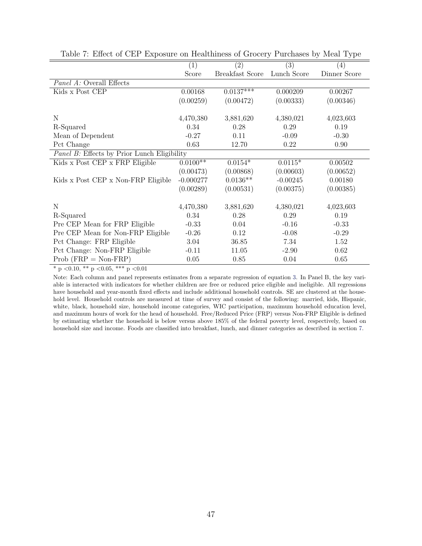|                                             | (1)                      | $\left( 2\right)$      | (3)         | (4)          |
|---------------------------------------------|--------------------------|------------------------|-------------|--------------|
|                                             | Score                    | <b>Breakfast Score</b> | Lunch Score | Dinner Score |
| <i>Panel A:</i> Overall Effects             |                          |                        |             |              |
| Kids x Post CEP                             | 0.00168                  | $0.0137***$            | 0.000209    | 0.00267      |
|                                             | (0.00259)                | (0.00472)              | (0.00333)   | (0.00346)    |
|                                             |                          |                        |             |              |
| N                                           | 4,470,380                | 3,881,620              | 4,380,021   | 4,023,603    |
| R-Squared                                   | 0.34                     | 0.28                   | 0.29        | 0.19         |
| Mean of Dependent                           | $-0.27$                  | 0.11                   | $-0.09$     | $-0.30$      |
| Pct Change                                  | 0.63                     | 12.70                  | 0.22        | 0.90         |
| Panel B: Effects by Prior Lunch Eligibility |                          |                        |             |              |
| Kids x Post CEP x FRP Eligible              | $0.01\overline{00^{**}}$ | $0.0154*$              | $0.0115*$   | 0.00502      |
|                                             | (0.00473)                | (0.00868)              | (0.00603)   | (0.00652)    |
| Kids x Post CEP x Non-FRP Eligible          | $-0.000277$              | $0.0136**$             | $-0.00245$  | 0.00180      |
|                                             | (0.00289)                | (0.00531)              | (0.00375)   | (0.00385)    |
|                                             |                          |                        |             |              |
| N                                           | 4,470,380                | 3,881,620              | 4,380,021   | 4,023,603    |
| R-Squared                                   | 0.34                     | 0.28                   | 0.29        | 0.19         |
| Pre CEP Mean for FRP Eligible               | $-0.33$                  | 0.04                   | $-0.16$     | $-0.33$      |
| Pre CEP Mean for Non-FRP Eligible           | $-0.26$                  | 0.12                   | $-0.08$     | $-0.29$      |
| Pct Change: FRP Eligible                    | 3.04                     | 36.85                  | 7.34        | 1.52         |
| Pct Change: Non-FRP Eligible                | $-0.11$                  | 11.05                  | $-2.90$     | 0.62         |
| $Prob (FRP = Non-FRP)$                      | 0.05                     | 0.85                   | 0.04        | 0.65         |

<span id="page-46-0"></span>Table 7: Effect of CEP Exposure on Healthiness of Grocery Purchases by Meal Type

Note: Each column and panel represents estimates from a separate regression of equation [3.](#page-15-1) In Panel B, the key variable is interacted with indicators for whether children are free or reduced price eligible and ineligible. All regressions have household and year-month fixed effects and include additional household controls. SE are clustered at the household level. Household controls are measured at time of survey and consist of the following: married, kids, Hispanic, white, black, household size, household income categories, WIC participation, maximum household education level, and maximum hours of work for the head of household. Free/Reduced Price (FRP) versus Non-FRP Eligible is defined by estimating whether the household is below versus above 185% of the federal poverty level, respectively, based on household size and income. Foods are classified into breakfast, lunch, and dinner categories as described in section [7.](#page--1-5)